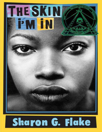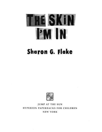

# **Sharon G. Flake**



**JUMP AT THE SUN HYPERION PAPERBACKS FOR CHILDREN** NEW YORK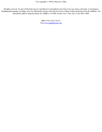All rights reserved. No part of this book may be reproduced or transmitted in any form or by any means, electronic or mechanical, including photocopying, recording, or by any information storage and retrieval system, without written permission from the publisher. For information address Hyperion Books for Children, 114 Fifth Avenue, New York, New York 10011-5690.

> ISBN: 978-1-4231-3251-6 Visit www.jumpatthesun.com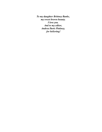*To my daughter Brittney Banks, my sweet brown beauty. I love you. And to my editor, Andrea Davis Pinkney, for believing!*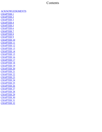## **Contents**

**ACKNOWLEDGMENTS** CHAPTER 1 CHAPTER 2 CHAPTER 3 CHAPTER 4 CHAPTER 5 CHAPTER 6 CHAPTER 7 CHAPTER 8 **CHAPTER 9** CHAPTER 10 CHAPTER 11 CHAPTER 12 CHAPTER 13 CHAPTER 14 CHAPTER 15 CHAPTER 16 CHAPTER 17 CHAPTER 18 CHAPTER 19 CHAPTER 20 CHAPTER 21 CHAPTER 22 CHAPTER 23 CHAPTER 24 CHAPTER 25 CHAPTER 26 CHAPTER 27 CHAPTER 28 CHAPTER 29 CHAPTER 30 CHAPTER 31 CHAPTER 32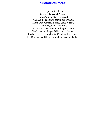# **Acknowledgments**

Special thanks to Grampa Titus and Poppop (James ″Jimmy Sax″ Rosseau), who had the talent but not the opportunity, Mom, Dad, Gramma Marie, Uncle Jimmy, Aunt Betty, and Uncle Sam, who always knew how to tell a good story. Thanks, too, to August Wilson and his sister Freda Ellis, to Highlights for Children, Rob Penny, Joy Cowley, and Ed and Helen Palascak and the kids.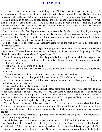THE FIRST TIME I SEEN HER got a bad feeling inside. Not like I was in danger or nothing. Just like she was somebody I should stay clear of. To tell the truth, she was a freak like me. The kind of person folks can't help but tease. That's bad if you're a kid like me. It's worse for a new teacher like her.

Miss Saunders is as different as they come. First off, she got a man's name, Michael. Now who ever heard of a woman named that? She's tall and fat like nobody's business, and she's got the smallest feet I ever seen. Worse yet, she's got a giant white stain spread halfway across her face like somebody tossed acid on it or something.

I try not to stare the first day that amazon woman-teacher heads my way. See, I got a way of attracting strange characters. They draw to me like someone stuck a note on my forehead saying, ″losers wanted here.″ Well, I spend a lot of time trying to fit in here at McClenton Middle School. I ain't letting nobody ruin it for me, especially no teacher.

I didn't even look up when Miss Saunders came up to me that day like I'm some kind of information center.

″Excuse me,″ she says. She's wearing a dark purple suit, and a starched white shirt with matching purple buttons. That outfit costs three hundred dollars, easy. ″I'm trying to find the principal's office. I know it's around here somewhere. Can you help me?″

Before I catch myself, my eyes ricochet like pin balls, bounding from John-John McIntrye's beady brown eyes right up to hers. I swallow hard. Stare at her till John-John whacks me on the arm with his rolled-up comic book.

″That-a-way,″ I say, pointing up the hall.

″Thank you. Now what's your name?″ she says, putting down her briefcase like she's gonna stay here awhile.

″Maleeka. Maleeka Madison—the third,″ I say, smacking my gum real loud.

″Don't let that fancy name fool you,″ John-John butts in. ″She ain't nobody worth knowing.″

Miss Saunders stares down at him till he turns his head away and starts playing with the buttons on his shirt like some two-year-old.

″Like I say, the office is that-a-way.″ I point.

″Thank you,″ she says, walking off. Then she stops stone still, like some bright idea has just come to her, turns around, and heads back my way. My skin starts to crawl before she even opens her mouth. ″Maleeka, your skin is pretty. Like a blue-black sky after it's rained and rained,″ she says. Then she smiles and explains how that line comes from a favorite poem of hers. Next thing I know, she's heading down the hall again like nothing much happened.

When she's far enough away, John-John says to me, "I don't see no pretty, just a whole lotta black. ″ Before I can punch him good, he's singing a rap song. ″Maleeka, Maleeka—baboom, boom, boom, we sure wanna keep her, baboom, boom, boom, but she so black, baboom, boom, boom, we just can't see her.″

Before I know it, three more boys is pointing at me and singing that song, too. Me, I'm wishing the building will collapse on top of me.

John-John McIntyre is the smallest seventh grader in the world. Even fifth graders can see over his head. Sometimes I have a hard time believing he and me are both thirteen. He's my color, but since second grade *he's* been teasing *me* about being too black. Last year, when I thought things couldn't get no worse, he came up with this here song. Now, here this woman comes talking that black stuff.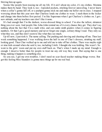Stirring him up again.

Seems like people been teasing me all my life. If it ain't about my color, it's my clothes. Momma makes them by hand. They look it, too—lopsided pockets, stitching forever unraveling. I never know when a collar's gonna fall off, or a pushpin gonna stick me and make me holler out in class. I stopped worrying about that this year now that Charlese lends me clothes to wear. I stash them in the locker and change into them before first period. I'm like Superman when I get Charlese's clothes on. I got  $\epsilon$ new attitude, and my teachers sure don't like it none.

It's bad enough that I'm the darkest, worse-dressed thing in school. I'm also the tallest, skinniest thing you ever seen. And people like John-John remind me of it every chance they get. They don't say nothing about the fact that I'm a math whiz, and can outdo ninth graders when it comes to figuring numbers. Or that I got a good memory and never forget one single, solitary thing I read. They only see what they see, and they don't seem to like what they see much.

Up till now, I just took it. The name calling. The pushing and shoving and cheating off me. Then last week something happened. I was walking down the hall in one of Char's dresses, strutting my stuff, looking good. Then Char walked up to me and told me to take off her clothes. There was maybe eight or nine kids around when she said it, too, including Caleb. I thought she was kidding. She wasn't. So went to the girls' room and put my own stuff back on. That's when I made up my mind. Enough is enough. I deserve better than for people to treat me any old way they want. But saying that is one thing, making it happen is something else.

So you see, I got my own troubles. I don't need no scar-faced teacher making things worse. But got this feeling Miss Saunders is gonna mess things up for me real bad.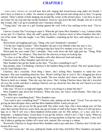JOHN-JOHN THINKS HE SMART hear him still singing that boom-boom song under his breath. I don't have to listen to it, either. So instead of going to fifth period and sitting next to him, I'm going outside. There's plenty of kids hanging out around the corner at the pretzel place. I just have to get to my locker for my coat and slip out the backdoor. Soon as I get down the hall, though, who do I see but that woman. She's all up in somebody else's business already.

″Young lady,″ she says to a girl leaning against the wall with a boy sucking on her neck. ″Get to class.″

I turn to a locker like I'm trying to open it. When the girl turns Miss Saunders's way, I almost choke on my spit. It's Charlese. Man, the stuff's gonna fly now. Charlese stares at Miss Saunders like she's out of her mind. Then she laughs. I see Miss Saunders, crunching up her face, and cutting her eyes a Worm.

Worm busts out laughing and says, ″Dang, who you? Somebody's momma?″

″I'm the new English teacher.″ Miss Saunders has got a real attitude when she says it, too.

″Shoot,″ Char says. ″I sure ain't looking at that face forty-five minutes every day. No way.″

Worm puts his arm round Char's shoulder. They walk down the hall right past me. ″Dang. What happened to her?" he whispers. They head for the stairway to keep on locking lips.

″To class or to the office,″ Miss Saunders calls after them real loud and steady.

Charlese looks at Miss Saunders and rolls her eyes.

Miss Saunders has got her hands on her hips. ″You have something to say?″

Big mistake, lady, I'm thinking. Charlese is the baddest thing in this school. She ain't gonna forgive you for loud-talking to her.

Charlese, she's crazylike. Next thing I know, she's telling Miss Saunders to mind her own business. She says something about her face. Worm's telling Char to cool it. He's dragging her down the hall with his hand covering her big mouth. The new teacher don't know when to quit. She tells Worm to hold on a minute. Then she says her piece. She's letting Charlese know that she's traveled all over the world, and there's nothing Charlese can say about her face that she ain't heard in at least four different languages.

Char says, ″If you're so high and mighty, what're you doing in a dump like this?″

Miss Saunders puts down her briefcase. When she does, her Gucci watch flashes. This lady's go money. Big-time cash.

″I want to give something back,″ Miss Saunders says.

″You want to give something back?″ Charlese asks, putting out her hand. ″Good. You can start by giving me them designer shoes and that three-hundred-dollar watch you got on.″

Charlese, she's got an eye for the good stuff. Her older sister Juju, who's been taking care of Char since their parents died two years back, has got all kinds of stuff at her house. Most of it still got price tags on it. She'll sell you a three-hundred dollar-pants suit for fifty dollars, or a nice coat for a Benjamin—a hundred bucks. Good deals if you got the dollars, which I ain't. Char's lucky. When my daddy died three years ago, Momma took to her sewing machine to help her ease the pain. I sure wish she'd taken to getting me clothes off a store rack, instead. Her sewing is a shame.

Worm tells Charlese to forget about Miss Saunders and to get outta here. Charlese don't let the new broad off so easy.

″You don't scare me,″ she says, putting her hands on her hips, but before Miss Saunders can speak,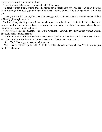here comes Tai, interrupting everything.

″I see you've met Charlese,″ Tai says to Miss Saunders.

Tai teaches math. She is weird, too. She stands at the blackboard with one leg leaning on the other like a flamingo. She does yoga and hums like a heater on the blink. Tai is a strange chick, I'm telling you.

″I see you made it,″ she says to Miss Saunders, grabbing both her arms and squeezing them tight in a friendly girl-to-girl squeeze.

Tai looks funny standing next to Miss Saunders, who must be close to six feet tall. Tai is short with long hair and two sets of silver hoop earrings in her ears, and a small hole in her nose where she puts her nose ring when she ain't at work.

″We're old college roommates,″ she says to Charlese. ″You will love having this woman around. She really makes things happen.″

I don't know why Tai is telling all this to Charlese. She knows Charlese couldn't care less. Tai and Miss Saunders head for the office. Tai tells Worm and Charlese to get to class.

″Sure, Tai,″ Char says, all sweet and innocent.

When Char is halfway up the hall, Tai looks over her shoulder at me and says, "That goes for you, too, Miss Madison.″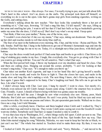WE'RE IN THE GIRLS' ROOM—like always. For once, I'm really trying to pee, not just talk about folk. That's hard in this school. Ain't no doors on the stalls. The principal took them off himself, so everything we do is out in the open. Like that's gonna stop girls from smoking cigarettes, writing on the walls, and cutting class.

Everybody's talking about the new teacher. ″Her face looks like somebody threw a hot pot of something on it," Char says, frowning. "If I had a mug like that, I'd kill myself," she says, lifting up her arms and smelling her pits. I want to tell her that if I had hair balls as big as basketballs growing under my arms like she does, *I'd* kill *myself.* But I don't say what's on my mind. I keep quiet.

″Just think, if that was your mother,″ Raina, one of the twins, says.

″I wouldn't even claim her if she *was* my moms,″ Char says, taking out deodorant. Then she pulls up her shirt and reaches inside to roll that sticky blue stuff on.

The four of us meet in the bathroom every morning. Me, Char, and the twins—Raina and Raise. We talk. Smoke. Stuff like that. I hang in the bathroom to get out of Momma's homemade rags and into the clothes Charlese brings for me to try on. Today, it's a skintight navy-blue jean dress, with thick gold buttons.

Char says the dress would look perfect if I had some hips and boobs to go with it. Char blows a fat ring of stinking gray smoke in my face. I laugh, like everybody else. You got to *go* along with Char if you want to *get* along with her. You can't be all sensitive. That's what Char says.

When the first period bell rings, I throw my backpack over my shoulders and head for class. Char and them are cutting class. Hanging out around the corner, probably. ″I ain't for looking at that woman's mug today," Char says. "It's enough to make you throw up."

Char takes out another Kool cigarette, and taps it on her hand like she's giving herself a needle. She puts it in her mouth, and waits for Raise to light it. Then she closes her eyes, and sucks in the smoke slow and long like she's making a wish. The next thing I know, she's blowing smoke in my face again. I guess that's supposed to be funny. Char's laughing real hard. She tells me to get out her face. I do what I'm told.

I didn't always hang with Char. Last year, I hung by myself. I went to class. Got mostly A's. Nobody even noticed me till Caleb Jamaal Assam came along. Caleb's the smartest boy in school. Cute. Friendly. A poet. I should of known being with him was gonna cause me trouble.

He stared at me half the year. I thought he saw what everybody else saw. Skinny, poor, black Maleeka. But Caleb saw something different. He said I was pretty. Said he liked my eyes and swee cocoa brown skin. He wrote me poems and letters. He put spearmint gum inside. Walked me to class. Gave me a ring. I ain't told Momma.

After a while, everybody knew. Charlese and them laughed when Caleb and I walked by. They'd stuck out their legs and tried to trip me. They wrote Caleb notes saying not even the Goodwill would want my clothes. Somebody said I had hair so nappy I needed a rake to comb it.

It was that class trip to Washington, D.C., where things really fell apart. Caleb sat next to me. They teased us all the way there. Barks came from the back of the bus. Spit bombs flew my way. Then John-John started singing his song.″Maleeka, Maleeka, we sure want to keep her but she so black, we just can't see her.″ The whole bus started in. Teachers tried to make them stop. By then, it was too late.

I looked at Caleb. He gave me the goofiest smile and said, ″Sorry, Maleeka…,″ and moved to the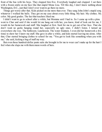front of the bus with his boys. They slapped him five. Everybody laughed and clapped. I sat there with a frozen smile on my face like that stupid Mona Lisa. Till this day, I don't know nothing about Washington, D.C., just that I don't ever want to go there no more.

Things got worse after that. Kids picked on me more than ever. They sang John-John's stupid song whenever I walked the halls. They got on my case about every little thing. My hair. My clothes. My color. My good grades. The fact that teachers liked me.

I didn't want to go to school after a while, but Momma said I had to. So I came up with a plan. went to Char and said if she would let me hang out with her, you know, kind of look out for me, I would do her homework and stuff. She laughed at first. Said for me to get out of her face. That she don't want no geeks hanging round her, especially no ugly ones. I didn't listen. I turned up everywhere she was. The bathroom. Lunchroom. The water fountain. I even did her homework a few times to show her I knew my stuff. She gave in after a while, and kids started leaving me alone. After that, Char started bringing clothes to school for me. ″You got to look like something when you with me,″ she said, kicking a bag of stuff my way.

But even those hundred-dollar pants suits she brought in for me to wear can't make up for the hurt I feel when she slaps me with them mean words of hers.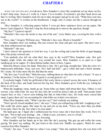WHEN THE SECOND BELL RINGS run to Miss Saunders's class like somebody set my shoes on fire. It don't help none. Soon as I walk in, I know I'm in trouble. Everybody's got their head down and they're writing. Miss Saunders nods for me to take out paper and get to my seat. ″What does your face say to the world?″ is written on the blackboard. I laugh, only it comes out like a sneeze through my nose.

Miss Saunders is collecting papers before I even got three sentences down on my paper. She knows I just slipped in. That don't stop her from asking me to answer the question, though.

″My face?″ I point to myself.

″Maleeka's face says she needs to stay out of the sun,″ Larry Baker says, covering his face with a book.

″Naw, man,″ Gregory Williams says. ″Maleeka's face says, Black is beautiful.″

Miss Saunders don't say nothing. She just crosses her arms and gets real quiet. She don't care if she done embarrassed me again.

″Maleeka?″ she says.

I don't answer her question or look her way. I eye the ceiling and count the blobs of gum hanging there like pretty-colored snot.

"Can anybody else tell me what their face says to the world?"Miss Saunders asks. Her gold bangles jingle while she makes her way around the room. Miss Saunders is as quiet as a tiger sneaking up on its supper. It's them Italian leather shoes of hers, I guess.

Malcolm Moore raises his hand. Malcolm is fine. He's got long, straight hair. Skin the color of a butterscotch milkshake. Gray, sad eyes. He's half and half— got a white dad and a black momma. He's lucky. He looks more like his dad than his mom.

″My face says I'm all that,″ Malcolm says, rubbing them six chin hairs he calls a beard. ″It says to the homies, I'm the doctor of love. I'm good *to* ya and good *for* ya.″

Everybody laughs. Faith, his girlfriend of the week, throws a pencil across the room. It bounces off the back of his chair, and lands between his big feet. Miss Saunders gives Faith the eye, letting her know to cut it out.

When the laughing's done, hands go up. Some folks say funny stuff about their face. Others is real serious. Like John-John. He says his face tells the world he doesn't take no stuff. That people better respect him, or else. I never seen nothing like that in John-John's face. He looks more scared than mean. I guess there ain't no accounting for what folks see in their own mirrors.

When Miss Saunders asks, ″What's my face say?″ don't nobody say nothing.

″Don't get all closed-mouthed, now,″ she says. ″I hear you whispering in the hall. Laughing at me.″ She walks the aisles again. She stops by me and sits on my desk. ″Faces say more than you think. Even mine. Don't be shy. Say what's on your mind.″

My hand goes up. I figure she's embarrassed me twice since she's been here this week. Now it's her turn. "Not to hurt your feelings...but...I think it says, you know, you're a freak."

″That's cold,″ Chrystal Johnson says, frowning.

Miss Saunders put her hands up to her chin like she's praying. She gets up and walks the room, pacing. We don't say nothing. We just listen to the clock tick. Shuffle our papers. Watch for some reaction from Miss Saunders.

″Freak,″ she says. ″I saw that too when I was young.″ Then she explains how she was born with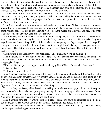her face like that. How when she was little her parents had the preacher pray over it, the old folks work their roots on it, and her grandmother use some concoction to change the color of that blotch on her cheek so it matched the rest of her skin. Miss Saunders says none of the stuff she tried on her face worked. So she finally figured she'd better love what God gave her.

″Liking myself didn't come overnight,″ she says, ″I took a lot of wrong turns to find out who I really was. You will, too.″ Everybody starts talking at once, asking her questions. Miss Saunders answers 'em all. Some kids even go up to her face and stare and point. She lets them do it too, like she's proud of her face or something.

Then Miss Saunders comes over to my desk and stares down at me. "It takes a long time to accept yourself for who you are. To see the poetry in your walk,″ she says, shaking her hips like she's doing some African dance. Kids bust out laughing. ″To look in the mirror and like what you see, even when it doesn't look like anybody else's idea of beauty.″

For a minute, it seems like Miss Saunders is getting all spacey on us. Like her mind is somewhere else. Then she's back, talking that talk. ″So, what's my face say to the world?″ she asks. ″My face says I'm smart. Sassy. Sexy. Self-confident,″ she says, snapping her fingers rapid-fire. ″It says I'm caring and, yes, even a little cold sometimes. See these laugh lines,″ she says, almost poking herself in the eyes. ″They let people know that I love a good joke. These tiny bags? They tell the world I like to stay up late.″

″Doing *what,* Miss Saunders?″ John-John asks. ″Checking homework, or making out?″

Miss Saunders throws her head back and laughs. The lines around her eyes crinkle. The bangles on her arm jingle. ″What do I think my face says to the world? I think it says I'm*all that,″* she says, snapping her fingers.

Kids clap like they just seen a good movie, and they yell stuff like: "Go on, Miss Saunders." ″Give me five.″

″Tell us who you really is.″

Miss Saunders quiets everybody down, then starts telling us more about herself. She's a big shot at an advertising agency downtown. A few months ago, her company and the school board came up with a new program that lets professionals take a leave of absence for a year to teach in inner-city schools. She says she always wanted to teach. She says being at McClenton Middle School will help her figure out if she wants to make a career out of teaching.

The next thing we know, Miss Saunders is asking us to take out some paper for a test. A surprise test. Some of the kids who was just giving out high fives are singing a different tune now. Worm thinks Miss Saunders is playing around for a minute. But she ain't. She says she wants to evaluate us. You know, to figure out what we know and don't know.

Miss Saunders says the test won't count for a grade. John-John starts to get smart, he don't do so good on tests. ″Then why we got to do it?″ he asks, putting one leg across his desk.

Miss Saunders struts over to his desk, and pushes his leg off. ″Because I say so,″ she says, handing out the papers and telling us to settle down.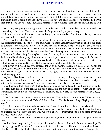WHEN I GET HOME, MOMMAis waiting at the door to take me downtown to buy new clothes. She says she got a bonus at work, so she has some extra cash to throw around for once. I don't care how she got the money, just as long as I get to spend some of it. So here I am today, looking fine. I got on enough lip gloss to shine a car and I have a crease in my pants sharp enough to cut somebody. For the first time in who knows when, I look like somebody, and Charlese Jones ain't had nothing to do with it.

At school, everybody's staring at me. Even John-John's doing a double-take. When I walk into class, all eyes is on me. Char's the only one that's got something negative to say.

″So your momma finally broke down and bought you some clothes. About time,″ she says, as soon as we get to Miss Saunders's class.

When I walk in Miss Saunders's room, she's already giving out an assignment. We get to work on this assignment with someone else, she says. Char lets Miss Saunders know that me and her are gonna be partners. Char's figuring I'll do all the work. But Miss Saunders is hip to that game. She says *she's* picking our partners. She hooks me up with Desda. Char don't like that one bit. She picks up her stuff and walks out the room. Miss Saunders acts like Char's leaving don't bother her none.

Desda is the short, fat girl sitting by the door. Everybody in school knows she can cook up a storm. Turkey, stuffed chicken, gravy, three-cheese macaroni, pasta salad, fried steak, lasagna. She's won all kinds of cooking awards. She even won five-hundred dollars from a Pillsbury Bake-Off contest. She called her receipe Desda Darling's Delicious Double-Dutch Chocolate Chip Cake.

She never will spend the five-hundred dollar prize money, though. It's scholarship money for college, and Desda can't hardly read what the award says, let alone try to get into college. I hear Miss Saunders's gonna start tutoring Desda. Yeah, right, I'm thinking Desda's gonna read on grade level when pigs fly.

Anyhow, Miss Saunders asks the class to pretend we're teenagers living in the seventeenth century. We have to write a diary ″chronicling″ our experiences. John-John raises his hand and asks why we got to do this assignment anyway. ″Don't make no sense to me,″ he says, frowning.

Miss Saunders looks like she's thinking hard for a good reason herself. Her fingers go up on her lips. Her eyes check out the ceiling like she's gonna find the answer up there. ″I want you to know what it feels like to live in somebody else's skin and to see the world through somebody else's eyes," she says.

Miss Saunders takes a deep breath. Closes her eyes. Then tells us to do the same. "When you were little, you loved to play pretend. To be G.I. Joe or Barbie. This is the same thing. Playing pretend, she says.″

″G.I. Joe's a punk. Don't nobody wanna be him,″ John-John yells, cracking up the whole class.

″You get to be anyone you like,″ Miss Saunders says walking toward him. She tells us that this is an exercise that will show her how well we write and use our imaginations. So no more grumbling, she says. ″Get to work. Now.″

I look at Desda. She's sitting there showing off her big white teeth, and licking her lips like they're candy.

At first, I don't say nothing. I roll my pencil around on the desk. I wait for Desda to start things. Bu nothing happens. Desda doesn't say nothing for ten whole minutes. Then here comes Miss Saunders like she's Big Ben, the clock. ″I hope you and your partner are using your time wisely. You only have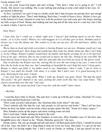twenty minutes left.″

I rip out some loose-leaf paper and start writing. ″This here's what we're going to do,″ I tell Desda. She doesn't say nothing. She is just smiling and picking at some crud caked in her eyes. So get started without her.

At first, I pretend I'm a girl living in a drafty castle that I hate because my parents don't got enough candles to light the place. Then I start thinking. Back then, I would of been a slave. Maybe a slave girl in the bottom of a boat, chained to some boy with the prettiest eyes and some girl who keeps stealing my little scraps of food. Skinny and stinking and starving and all the time next to a cute boy who I like so much, it hurts. I start to write:

#### *Dear Diary:*

I hate fish, but I could eat a whale right now. I haven't had nothing much to eat for three weeks...or is it five weeks? Watery rice with maggots in it is all they give us here. Momma used to always say I was the skinny one. She would cry if she saw me now. All ribs and knees. Ankles, big *as yams.*

*Worse than no food and stink everywhere is having Kinjari see me now. Momma would say I am* a vain and foolish girl. Here dying and wondering what some boy thinks about me. But I can't help *it. In my village, Kinjari'*s *family would know my family and maybe arrange for us to be married.* Even at my age—thirteen. But no one would ask to marry me like this. Sitting in my own filth. My head shaved clean to keep lice away. Skin dry and ashy like tree bark ate away by the desert wind.

Day in and day out Kinjari eyes me, staring like he sees the sun rising in my eyes. I want to ask him why he looks at me that way. Am I something so beautiful he can't help but stare? I keep quiet. Beauty is where one finds it, my father used to say. Sometimes, when I wake, I am so close to Kinjari I can smell his breath. Like mine, it is awful. But I don't care. It is good knowing he is *near. Knowing he* was *near, I mean.*

I was sick, bad, for a long while. When I woke up, Kinjari was gone. Dead. "He had the mark *The pocks,″ the girl chained to me said, sucking her front teeth like they was soup bones. ″The slavers tossed him over the side,″ she said.*

*But this one, she steals my food. Can I trust her with the truth? I don't know.*

—*Akeelma*

I read the diary letter to Desda. She asks how I came up with the girl's name, Akeelma? It's close to my name spelled backward, I tell her.

″How come you don't talk proper, like Akeelma talks in her diary?″ she asks.

″Don't nobody talk like that for real, only people in old movies and books.″ Then I tell her how, before he died, my father read me books where people spoke like that. ″Some of it stuck, I guess.″

Miss Saunders picks up the papers and starts reading some out loud.

Don't read mine, I think, turning my head to the wall.

Desda raises her hand and asks Miss Saunders to read ours. Miss Saunders says it's the best, most thoughtful piece she's heard so far. ″Desda, Maleeka, good job,″ she says.

Desda smiles. She sits up straight and tall and shows off them giant teeth of hers. I should be pissed off at her, since she didn't do a dang thing to help me write my essay. But today I've got on my new clothes and I'm feeling mighty fine. I don't crack on Desda, or nothing. I just get myself on out of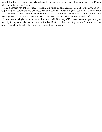there. I don't even answer Char when she calls for me to come her way. This is my day, and I'm not letting nobody spoil it. Nobody.

Miss Saunders has got other ideas, though. She pulls me and Desda aside and says she wants us to keep doing the assignment. No one else, just us. Desda asks what we gonna get out of it. Extra credit is all. *Hummph.* Desda pulls out right then. Admits she didn't have nothing much to do with writing the assignment. That I did all the work. Miss Saunders turns around to me. Desda walks off.

I don't know. Maybe it's these new clothes and all. But I say OK. I don't want to spoil my good mood by telling no teacher where to get off today. Besides, I liked writing that stuff. I didn't tell that to Miss Saunders, though. She could use it against me, somehow.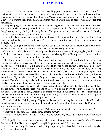ONE MINUTE I'M WALKING DOWN THhEall watching people watching me in my new clothes. The next minute Daphne Robinson is all up in my face ready to fight. She's saying she just found out I was kissing her boyfriend in the hall the other day. ″Worm wasn't sucking my lips off. He was kissing Charlese,″ I want to yell. But I don't. Bad things happen around here to people who can't keep their mouth shut.

I keep stepping, and tell Daphne she's got the wrong girl. But I ain't as cool as I seem. My fingers are starting to shake, and my throat is dry as toast. Daphne's itching for a fight. I can feel it. The next thing I know, she's grabbing hold of my braids. She got them wrapped around her hands like boxing tape and is punching me upside the head with them.

I am taller than Daphne, so it seems like all I have to do is reach down and slap her off me like a bug. I'm pushing her away as best I can. Only every time I do it, it feels like my hair is being ripped from my scalp.

Kids are yelling all around me. "Beat her butt good. Ain't nobody got the right to steal your man." Teachers say to break it up and for kids to move so they can stop this thing.

Char's just standing there eating a candy bar like she's at the movies. I'm eyeing her, hoping maybe she'll jump in or at least say she was the one that was kissing Worm. She digs the chocolate out from between her teeth and takes another bite of candy.

All of a sudden here comes Miss Saunders, pushing her way past everybody to where me and Daphne are fighting. I never thought I'd be so glad to see that woman. But I am. She's pushing her way through the crowd, like there ain't nobody at McClenton big or bad enough to stop her. I don't know what's got into me, I ain't no fighter. Never fought one day in my life. But all of a sudden, I'm feeling strong when I see Miss Saunders headed my way. So I raise my hand in the air and give Daphne some of what she been giving me. Next thing I know, Miss Saunders's grabbing hold of my hand, telling me to cut it out. Big mistake. Now Daphne's got the chance to get in one last hit. She takes her hand, the one with Worm's dad's big basketball ring on it, and smacks me across my face. My cheek puffs up like hot cookie dough. I can feel the blood oozing down to my chin.

Miss Saunders shoves her hands in her suit pocket and pulls out tissues like she's got boxes of them stashed away. The principal starts breaking up the crowd, telling everyone to move along or come to his office. Next thing I know, Daphne's gathering up snot in her throat like she's summoning up demons. Before I even think about it, that big, green slimy stuff comes flying my way, landing right on my shirt. Charlese is one of the first people to crack up.

The principal, Mr. Pajolli, has got Daphne by the arm and is telling her to come to his office. Miss Saunders has got them tissues, rubbing blood and snot off me, still holding my arm like I'm gonna do something dangerous.

″Get off me,″ I say, jerking my arm away. ″Why don't you go back to where you come from?″

″That will be enough,″ Mr. Pajolli says, heading my way.

″What's she doing here anyway, Mr. P.?″ I say, holding my face. ″She don't know what she's doing.″

Mr. Pajolli takes me by the elbow and tells some kid to get me to the nurse's office. He takes Daphne with him. She's mouthing off, saying if she gets suspended, I better, too.

Miss Saunders has got her arms raised, telling people to get to class. Me, I'm just wondering when she's gonna get out my life.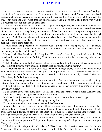NO TELEVISION, TELEPHONE, OR HANGING Owith friends for three weeks, all because of that fight. And that ain't even the worse part. The principal, Miss Saunders, and Momma got their heads together and came up with a way to punish me good. They say it ain't punishment, but it sure feels that way. They found me a job. A job that don't pay no money and ain't no fun at all. I don't even want it. But Momma's got her mind set, so that's that.

I will be working in the school office, filing papers, stapling letters, that kind of stuff. This is Miss Saunders's bright idea. She talked it over with Momma last night on the telephone. I could hear some of the conversation coming through the receiver. Miss Saunders was saying something about me wasting my potential. That the school needed a better way to keep up with me so I don't fall through the cracks. And Momma believes all that crap, when the truth is that Miss Saunders is just a big mouth, bossy broad who likes to throw her weight around and treat everybody like they are some broken pot she's got to patch up.

I could smell the peppermint tea Momma was sipping, while she spoke to Miss Saunders. ″Maleeka's got more potential than she's letting on. Keeping her under the principal's nose may be just the way to get her back in line.″

Momma and Miss Saunders talk a long time. When they're done, I try to tell Momma that Miss Saunders doesn't know what she's doing. That she ain't even a real teacher. Momma says she doesn't care. She likes her.

″That Miss Saunders is the first teacher who ever called here to talk about what was going on with you. I like that. It shows she's concerned, that this job ain't just about the money.″

I tell Momma that Miss Saunders don't need the money. She got plenty. ″Don't it make you wonder, Momma, why somebody with all that money and a good job would give it up to come to McClenton?″

Momma sits there for a while, thinking. ″I wouldn't think on it too much, Maleeka,″ she says. ″She's here, that's the important thing.″

No way is Momma gonna let me not work in that office. She even threatens me, saying if I try to get out of it she will take away all my rights at home. So I figured, cool. I'll do it. And while I'm doing it I will find out the real deal on Miss Saunders. Get all up in her business like she's up in mine. Payback, you know.

So on the first day I work in the office, I ask Miss Carol, the secretary, about Miss Saunders. Miss Carol likes to gossip, so I figure she'll tell me something.

But Miss Carol just stares up at me with her arms crossed. ″You're here to work, right?″

″Right,″ I say, biting on the dry skin hanging from my lip.

″Then do your work and stop minding grown folks' business.″

Maxine, the other girl working in the office, is acting like she's filing papers. I know she's listening, though. I leave Miss Carol standing there with her arms folded, and I file my stuff like she says. Turns out, I don't need her to tell me about Miss Saunders. It don't take me long to start piecing stuff together from the other teachers. They complain about her every chance they get.

″If you ask me, that program doesn't work one bit,″ Mr. Mac, the science teacher, says. ″A school doesn't run like a corporation. Things don't happen at the snap of a finger or the drop of a pen. Change takes time.″

″A bull in a china shop, that's what she is,″ Miss Benson, the librarian, says under her breath. ″She's not following the curriculum the way it's laid out. She's pushing the kids too hard. Telling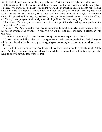them to read fifty pages one night, thirty pages the next. I'm telling you, hiring her was a bad move.″

If those teachers knew I was working at the desk, they would be more careful. But they don't know I'm here. I've dropped some paper clips on the floor and I'm crouching under a desk to pick them up slowly. It looks like nobody's around but Miss Carol, and she's in the back Xeroxing. Maxine is running errands. When I stand up, Mr. Mac gets all red-faced. He thinks I'm trying to be a smart aleck. His lips curl up tight. ″My, my, Maleeka, aren't you the lucky one? Here to work in the office, I see,″ he says, stomping out the door, right into Mr. Pajolli, who's heard everything he's said.

″Sometimes, Mr. Mac, you need new ideas, to do things differently. Nothing wrong with a little change, is there?″ he asks.

″I'm sorry, Mr. Pajolli, but the way I see it, rewarding those who misbehave and refuse to play by the rules is wrong. Dead wrong. How will you reward the good ones, put them on detention?″ Mr. Mac asks.

″They're all good ones, Mr. Mac. Some of them just need more support than others.″

Mr. Mac makes a clicking noise with his tongue. He and Miss Benson, walk down the hall together side by side. We all think those two got a thing going on, even though we never seen them kiss or even hold hands.

Mr. Pajolli tells me not to worry. That things will work out fine for me if I try hard enough. All the time he's talking, I'm trying to figure out how I can cut this gig loose. I mean, let's face it, I got better things to do with my time than work for free.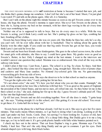THE ONLY REASON MOMMA LETS Moff restriction at home is because I started that new job, and she thinks that's gonna change me somehow. I don't tell her she's out of her head. Shoot, I'm just glad I can watch TV and talk on the phone again. After all, it *is* Saturday.

But I can't talk on the phone right this minute because as soon as my girl Sweets comes over to my house, she hogs the phone. Sweets's momma is super-strict. She *never* lets Sweets on the phone. So here she is, laying across my bed on her stomach, with her short legs waving in the air every time Larry says something to her.

Neither one of us is supposed to talk to boys. But we do every once in a while. With the way Sweets is acting, you'd think Larry could see her. She's putting lip gloss on her lips, combing her hair, brushing off her clothes.

Sweets has been liking Larry since she was six years old. She thinks he likes her, only he's so shy, you can't tell. All he ever talks about with her is basketball. They're talking about the game the Knicks won the other night. If you could see that big smile Sweets has got on her face, you would think Larry's just said he loves her.

Sweets and me been best friends since kindergarten. She goes to the school across town, the school for smart girls with attitudes, she likes to say. I could have gone there. My grades were as good as Sweets's. Better, in fact. Only I changed my mind at the last minute. I went to the interview and wouldn't answer one question they asked. Momma was so embarrassed. She cried all the way on the subway ride home.

I didn't plan it that way. I just froze, I guess. The school is so big. So clean. So fancy. And them girls…they looked like they come out of a magazine. Long, straight hair. Skin the color of potato chips and cashews and Mary Jane candies. No Almond Joy-colored girls like me. No gum-smacking, wisecracking girls from my side of town.

That didn't bother Sweets none. She says she deserves to be in that school as much as anyone.

″You got the right color skin,″ I said, poking her fat tan face.

″It's not about color,″ she said. ″It's how you feel about who you are that counts. Hummph,″ she said, twirling around on her toes like a ballerina with bad feet. ″I'm as good as the queen of England, the president of the United States, and ten movie stars, all rolled into one. So they better let me in that there school or else,″ she said, shaking her fist up to the sky. I guess Sweets's attitude paid off. They let her into that high-toned school.

Up till last year, Sweets and me did everything together. Now all she does is study. ″I gotta keep up,″ she says. ″Getting straight A's in this school, ain't like getting A's in our old school. You sweat to get these A's. Gotta half die to keep 'em.″

Sweets been on the phone for a half hour already. I tell her to cut it. She says to give her five more minutes. That really means fifteen minutes, so I go back to doing what I am doing. Looking at all the junk I got under my bed. Socks. Cards. Dust. An earring I've been looking for. A piece of old, hard toast. And a mirror I ain't seen for a while. It's a cheap little thing. But Daddy gave it to me a long time ago, so I try to hold onto it. It's got a pink plastic handle with little white bunnies painted on it.

I check my face out in the mirror. That cut from Daphne's ring is gone. Momma says I'm like Daddy. I heal fast. That ain't the only thing Daddy and me got in common. I got his eyes. Dark almond-shaped eyes with long, thick black lashes.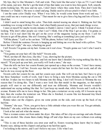My lips, they're like Momma's. Full and wide. They look like that actor's lips on TV. I can't think of his name, just now. But he's got the kind of lips that make you want to kiss him quick. Soft, smooth, pretty-looking lips. My nose and my ears, I don't know where they came from. They don't look like Momma's *or* Daddy's. My nose is small and pug. Daddy used to always pinch it when I was little.

I am the same color Daddy was. When I was little, he would come home from work and say, ″I sure could use me a warm cup of cocoa.″ That meant for me to give him a big hug and lots of kisses. I liked that.

I didn't used to mind being this color. Then kids started teasing me about it. Making me feel like something was wrong with how I look. And when Daddy passed away, that just made things worse.

I stare at myself for maybe twenty minutes in Daddy's mirror. I don't get it. I think I'm kind of nicelooking. Why don't other people see what I see? I think. Out of the blue I get an idea. I'm gonna cu my hair. Cut it real short like the girl on the cover of the magazine laying on my floor. I yell for Sweets to get off the phone. She ain't listening. She's smiling at something Larry just said to her.

″Off the phone,″ I yell so he can hear. ″Off the phone, before I tell Larry you like—″

Before I finish the sentence Sweets is hanging up and hitting me over the head with a pillow. ″You know that ain't right," she says, whacking me good.

I tell Sweets I'm gonna cut my hair. Gonna cut it real close. ″People gonna see I ain't who I used to be,″ I say.

″You gonna cut your hair off, like bald?″ Sweets asks.

″Well, not that off. But close, like this,″ I say, showing her the picture.

Sweets helps me take out my braids, and lets me know that I shouldn't be trying nothing like this by myself. ″If you jack up your hair, you really will look a mess,″ she says.

Then she tells me how her cousin Ronnie just opened up a shop on the avenue. ″I don't have money to go to no shop,″ I tell her. Sweets says that her cousin did her hair for free last week, and all she had to do was sweep up the floor.

Sweets calls her cousin for me, and her cousin says yeah. She will cut my hair, but I have to give her three Saturdays' worth of work. And I have to bring a note from Momma saying the cut is OK with her. It takes me two hours to talk Momma into this thing. I don't tell Sweets or Momma the real reason that I'm doing this. That I want a new look like that model in the magazine, so that maybe people will start to see me differently and treat me differently. Momma and Sweets wouldn't understand me saying nothing like that. So I just keep my mouth shut, while Sweets and I walk to the avenue. Ronnie tells me to leave things to her. She puts a texturizer on my scalp, till it loosens up my hair, then she washes the texturizer out. When she is finished, it seems like ten thousand tiny black shiny curls was all over my head.

Ronnie takes out the clippers, gives me some points on the side, and evens up the back of my hairline.

″Hmmm,″ she says. ″Now, you got to have a little attitude when you wear this cut. You got attitude, Maleeka?″ she asks, with her hands on her hips.

I look at her and ask what she means.

Then a woman comes out from under the dryer. She takes off her clip-on earrings and asks Ronnie for some alcohol. She cleans them clunky things off and clips them on my ears without even asking me.

″This is one of those hairdos you strut your stuff in. Sisters wearing these know they're sharp,″ Ronnie says, taking out the clippers and going at my hairline again.

I'm looking in the mirror, and I can't believe my eyes. I *like* what I see.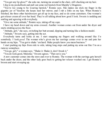″You got any lip gloss?″ she asks me, turning me around in the chair, still checking out my hair.

I dig in my pocketbook and pull out some red lipstick from Murphy's Drugstore.

″You're too young to be wearing lipstick,″ Ronnie says. She makes me stick my finger in the gigantic jar of Vaseline she keeps near her mirror, and I rub a little on my lips. When Ronnie's finished, the three other hairdressers get all up in my face, and so do some customers. One woman's got relaxer cream all over her head. They're all talking about how good I look. Sweets is nodding and smiling and agreeing with everybody.

″Give me some attitude,″ Ronnie says, taking off my cape.

I have my head down and my arms crossed. Another woman comes out from under the dryer and starts strutting across the floor.

″Attitude, girl,″ she says, switching her butt around, dipping and turning like a fashion model.

″Attitude,″ Sweets says, getting into the act.

Everybody turns and looks at me. I start snapping my fingers and walking around like I'm somebody. I look *good.* The woman who's given me her earrings comes over to me and puts her hands on my hips. "You got to shake 'em hard. Make people know you mean business."

I start pushing my hips from side to side, taking long steps and putting my arms out like I'm on a runway someplace.

″You go, girl,″ a woman says. ″Shake it. Shake it, don't break it.″

″You do look good, Maleeka,″ Sweets agrees. ″That cut is you.″

A new customer comes into the store and over to Ronnie. The woman with the earrings gets herself back under the dryer, and the other lady goes back to getting her relaxer washed out. I get Ronnie's broom and start sweeping up.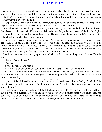ON MONDAY MS. ALLEN, THEIT teacher, does a double take when I walk into her class. I know she wants to ask me what happened, but teachers can't always just come out and ask you stuff like that. Kids, they're different. As soon as I walked into the school building they were all over me, wanting to know why I didn't have no hair.

I expect John-John not to like the cut. I mean, what does he like about me, anyhow? Nothing. And I expect Charlese and the twins to say they don't like it, even if they secretly do.

In third period, kids really light into me. By fourth period, I'm wearing the baseball cap I brough from home, just in case. Mr. Klein, the social studies teacher, tells me to take off the hat, but I give him some lame excuse and he lets me keep it on. The next thing I know, somebody's yanking off the hat and making cracks about my peanut head.

I don't get it. I mean, I look good. I*know* I do. Desda comes up to me and says I shouldn't let them get to me. I tell her I'll check her later. I go to the bathroom. Nobody's in there yet. I look in the mirror and start crying. ″You know, Maleeka,″ I hear myself say, ″you can glue on some hair, paint yourself white, come to school wearing a leather coat down to your toes and somebody will still say something mean to hurt your feelings. That's how it goes at this school.″

I walk around that bathroom trying to think of what to do. I start reading some of the stuff on the walls.

″Char and Worm 4-ever.″

″Wash me.″

″If you like school, you stupid.″

I sit myself up on one of the sinks, and think back to Saturday when I got my hair cut.

Tears come to my eyes when I put my hands on my head and feel my little bit of hair. I mean, I know I asked for it, and that it looked good at Ronnie's place, but seeing it in the school bathroom mirror is something else.

I jump off the sink and lean close to the mirror on the wall, and think of Daddy. ″Maleeka,″ he used to say, ″you got to see yourself with your own eyes. That's the only way you gonna know who you really are.″

I reach down into my bag and pull out the little hand mirror Daddy gave me and look at myself real good. My nose is running. I blow it and throw the tissue away. I splash some water on my face and pat it dry. I reach deep down into my pocketbook and pull out the little jar of Vaseline and shine up my lips. Then I ball up my cap, stuff it in my backpack, and walk right on out of there.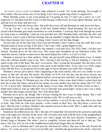WE NEED A NEW ALARM CLOCKOURS rings whenever it wants. Two in the morning. Ten at night. It don't matter. But you can be sure of one thing, it ain't never gonna ring when it's supposed to.

When Momma comes in my room telling me I'm gonna be late if I don't get a move on, I ain' surprised. It's the third time this week I'm late because of that clock. So I just ignore Momma, pull my quilt up over my head, and turn over.

Momma does what she always does. She pulls the covers off and threatens to yank down the sheet.

″I'm up. I'm up.″ I sit on the edge of the bed. Hands folded. Head drooping. My eyes are still closed when Momma goes back downstairs to cook breakfast. I wash up, then look through my closet for some jeans or something. I push my way past that new shirt Momma made, and hope she don't ask me about it. I don't want to hurt her feelings, but one shoulder is higher than the other one. She fixed it three times already, but it just ain't working. I don't want to tell her that, though.

Sweets asks me all the time why I don't just tell Momma I don't want to wear her stuff. But I can't. Momma needs to keep sewing. If she don't, I ain't sure what's gonna happen to her.

When I finally get to the kitchen table, the oatmeal's cold and slick, like Silly Putty. I eat dry toast instead. Momma gives me the once-over. She comes and straightens up my turtleneck collar. She made this one too, but the woman across the street helped her with it, so it ain't so bad.

Momma is dressed in a blue uniform. Today she got herself some different kind of tea. It smells more like chicken noodle soup to me. She's stirring it and stirring it, but not drinking it. I kiss her quick on the side of the head. She don't even notice. She's eyeing the newspaper like she does every morning. Two newspapers are spread wide open on the kitchen table. Every once in a while, pages slide onto the floor, or get greasy from some eggs or bacon Momma eats while she's reading.

Momma's always got to know what's happening in the stock market. She sews my clothes to save money so that she can play the stocks. She thinks we'll be rich one day, but she never invests any money. By the time she gets a few hundred dollars saved up here and there, the pipes start leaking or the roof needs fixing. Or Momma gets one of her dreams, where some dead relative comes back and tells her to play the lottery and put all her money on some number they told her about, like 557, 810, or 119. It never fails. Momma loses all the money. Every dime. But that's the kind of luck we have dumb dead relatives who go outta their way to interrupt your good-night's sleep to give you a lucky number that only brings you bad luck. Now who needs that?

Momma never gives up, though. She's always looking for new ways to make money. She's sold Tupperware, magazines, and pretty junk for kitchen walls. We're still poor as dirt.

A lot of folks think Momma don't have all her marbles. I can tell by the way they talk to her, kind of loud—like folks do with crazy people—with a smirk on their face, like they know a secret she don't. But the joke's on them. Momma's the smartest person in the world. She's a math whiz and can add numbers faster than anybody I know.

Sometime she embarrasses me. She's the type of woman that will put down her groceries and jump rope with eight-year-old kids on the street. She will play stick ball with the boys in the neighborhood and argue with the winos on the corner over who's gonna win the next election. Sometimes, my friends laugh at Momma. But when I start to complain, Sweets and them tell me to shut up. They know, like I do, ain't no one in the neighborhood gotta heart bigger than my Momma.

I blow a kiss to Momma and I rush past her and head for school. She says in the only French she knows, *″Je t'aime ma petite.* I love you my little one,″ and then she goes back to her stocks. I hear her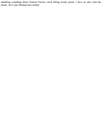mumbling something about General Electric stock falling twenty points. I have no idea what that means. Ain't sure Momma does neither.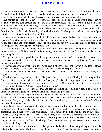MCCLENTON MIDDLE SCHOOL AIN'T THE KINOPIace where you want the lunch ladies mad at you. No matter how bad the food looks, or smells, you best keep your mouth shut. If you don't, you can end up with hair in your spaghetti. Pencil shavings in your pizza. Pepper in your milk.

But something's got into Charlese today. She acts like them lunch ladies won't cause her no trouble. When she goes through the line, she says the hamburgers look like burnt dog doo-doo. Miss Brown, the lunch lady who's serving, don't say nothing. She just clears her throat and runs her hands through her short gray hair. By the time Charlese gets out the line, there it is. Lettuce in her milk. Dried-up food on her fork. Something indescribable on her hamburger bun. Me and her can't figure out what it is, but we think it used to be alive.

I bring my own lunch from home, and I tell Char she can have it. Today I got a bologna sandwich. Char don't want no part of it. She slams her lunch tray down on the table. The whole place gets quiet. ″They better give me some decent food,″ she yells loud enough for all the lunch ladies to hear. Miss Brown just keeps stirring peas and wiping sweat.

″Move out of my way,″ Char says to a girl sitting at the table. She don't even give the girl a chance to move before she flicks a handful of them greasy, rock-hard peas in her face, then dares her to say something about it.

The girl knows what's good for her. She wipes the slimy pea juice off her chin and moves on.

″Serves you right,″ Char says, drying her wet hands on my backpack. ″Next time, she'll get out of my way before I ask.″

″They gonna give me what I paid for,″ Char says. She shoves her lunch tray at me so fast, it almost slides off the table. ″Take it back, Maleeka. Tell 'em I want another plate—now.″

I look at Charlese like she's crazy. ″They won't take it from me. You know that, Char,″ I say, in a dry, shaky voice.

Charlese doesn't say nothing at first. She just stares at me without blinking for the longest time. ″Do I have to jack you up right here in front of everybody?″ she asks, slapping one of the twins five.

″I said you could have my bologna sandwich,″ I say. But Char turns to me with her hands on her hips and a face that says, "I know you ain't talking to me."

I don't have no choice. I pick up her tray and get back in line. It seems like twenty kids are in front of me. By the time I get to Miss Brown again, my stomach is growling.

Miss Brown ain't smiling one little bit when she sees Char's tray. I tell her what the problem is. She says she'll take back the food, only not from me. Char starts yelling at me from way back in the lunchroom. Everybody can hear her. A teacher tells her to shut up, but the teacher can't make Char's eyes stop digging into me.

Miss Brown cuts me a break, and starts throwing the old food in the trash. I stop her when she gets to the hamburger bun with that stuff on top. ″Leave it,″ I say quietly. She looks like she wants to say something else, then she waves her hand at me, looks at the kid in the line after me, and says, ″Next.″

Char's yelling, ″Hurry up, Maleeka.″ I take the tray with the same old hamburger bun on it over to the side of the cafeteria where the ketchup and mustard packs are. I scrape the yuck off the top of the bun, and smear it on top of Char's hamburger. Then I squeeze ketchup and mustard on the meat, and take the whole thing to Char.

Char snatches the tray out of my hand. She opens up the hamburger bun, and picks up the meat. She puts it to her nose and sniffs it like she does to all of her food. Then she drops the burger back on the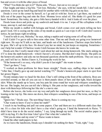bun and covers it with the other piece of bread.

″What? You think she spit in it?″ Raina asks. *″Please.* Just eat so we can go.″

Char laughs and takes a big bite. ″Get lost, Maleeka,″ she says, with her mouth full. I don't ask no questions. I pick up my lunch bag and head for another table with this big grin on my face.

Desda is over in the corner by herself, so I go and sit with her. Soon as I get there, my sandwich falls out of the paper bag and onto the floor. Momma loves salad oil. She thinks it's good for your heart. Sometimes, like today, she gets a little heavy-handed with it. And it leaks all over the place.

Desda leans down and picks up my sandwich and hands it to me. I wipe off the cellophane with a tissue, unwrap it, and start eating.

While my mouth is stuffed with bologna and bread, Caleb comes over and starts telling me how good I look. Oil is oozing out the sides of my mouth as quick as I can wipe it off. Caleb don't seem to notice, he just keeps right on talking.

″I need to talk to you, Maleeka,″ he says, taking a napkin and wiping some oil off my chin.

I tell Caleb I've got to talk to him some other time. That me and Desda are going over homeworl right now. He says he'll talk to me later, and heads out of the lunchroom. Charlese stops him before he goes. She's all up in his face. He doesn't pay her no mind, he just keeps on stepping. Sometimes I can't help but wonder if Charlese wants Caleb because she knows he wants me.

Desda acts like I really meant what I said about her and me doing homework. She starts asking me if I've done the math homework—which I haven't, of course. But that don't stop Desda. She pulls out the homework anyhow and asks me ten thousand questions about the math problems. They are easy as pie, and I tell her so. Before I know it, I'm doing the work for her.

″If the homework's so easy, why didn't you do it last night?″ she wants to know.

″Don't go there,″ I say.

″I worked on them problems for three hours straight,″ Desda says, stuffing chips in her mouth. ″After that, I finally gave up and started watching TV.″ Desda's homework paper starts to spot from her greasy fingers.

Twenty minutes later we head for the door. Char's still sitting at the front of the cafeteria. Boys are crowded around, so that all you can see is them purple shoes of hers and that tight, black designer skirt. When she stands up to leave, one boy puts his arms round her waist and whispers something in her ear. She laughs, but you can tell she's faking it. She puts on her sunglasses, and walks toward the door with them boys following her like she's a movie star.

Before she leaves, she looks over my way and pulls her sunglasses down past her nose, so they're leaning on her top lip. She stares me down, then whispers something to one of the twins, and keeps on stepping.

″Ignore her,″ Desda says. The next thing I know, Raise is coming my way.

″Char wants to know if you've done her math?″

I reach in my bookbag and pull out some papers. Char and them are in a different math class than me. It's a class for kids who don't have a clue what's going on. I hand the homework to Raise. ″I didn't have time to do the social studies,″ I say, lying through my teeth. The social studies paper is still in my bag. It's the first time I don't give Char what she's asked for.

″Did you do mine and my sister's?″ Raise wants to know.

I hand the other math papers to her.

As we leave the lunchroom, Desda says I shouldn't do nothing for them. ″Yeah, right,″ I say.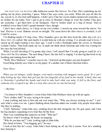THE NEXT DAY I'M WAITING INthe bathroom seems like forever. No Char. She's punishing me for getting out my place yesterday, I guess. When Char says come, you come. When she says do this for me, you do it, or else bad stuff happens. I didn't give Char her social studies homework yesterday, so no clothes for me today. Now I got to go to class in Momma's things or wear the clothes Char gave me yesterday. I got them here in my backpack. They're folded small as a bag of bread. They're wrinkled worse than Caleb's grand-momma's face, though.

I don't have much choice, so I keep on my own clothes. I stretch my arms toward the mirror. Not bad. Sleeves is even. Buttons sewed on straight. The seam down the shirt sleeve is crooked, is all. Could be worse.

I'm thinking maybe I'll skip class. Miss Saunders gave me this here book the other day.*Life of a Slave Girl,* it's called. She said maybe it would help me with my writing. I've already read it twice. I stayed up all night reading it two days ago. I read it with a flashlight under the covers so Momma wouldn't holler. That book made me cry. It made me think about Akeelma and what was waiting for her once the boat docked.

While I'm still deciding if I'm gonna skip class, I tell myself that I'm only going to read*Life of a Slave Girl* for five minutes. The next thing I know, the late bell is ringing. I'm shoving that book in my bookbag and running down the hall.

″Walk, Miss Madison,″ a teacher says to me. ″And pick up that paper you just dropped.″

Good thing nobody sees what is on my paper. It's another one of them Akeelma letters.

#### *Dear Diary:*

*When you are hungry, really hungry, even mush crawling with maggots tastes good. So I can't* help licking my lips when that girl put the last fingerful of my food in her mouth. A thief, that one is. Yesterday I grabbed her hands and tried to take back what was mine. It fell to the floor, and *someone else scooped it up. She is a lion who cares for no one but herself.*

#### —*Akeelma*

I'm almost to Miss Saunders's room when John-John McIntyre starts up with me again.

″New clothes, huh?″ he says, trying to be smart.

I stop walking and turn to him and ask real smart like, ″Why you always picking on me?″ I ain't sure what's come over me. I guess thinking about Akeelma makes me wonder why people treat others like they're nothing.

″Chill, Maleeka,″ John-John says, strutting down the hall alongside me. He gets quiet, and I hear his big sneakers squeaking every time they hit the floor.

Then I say something that surprises us both. ″Why me?″

He knows what I'm asking. He keeps on stepping.

″Why do you hate me?″ I ask, looking right at John-John.

His cheek twitches. ″You bugging, girl,″ he says.

I look at him like he's crazy. John-John's been hating me all my life it seems. Now he's standing here denying it.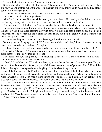″I don't think nothing about you,″ he says, jerking up his pants.

Seems like nobody's in the halls but me and John-John, only there's plenty of kids around, pushing and shoving one another out of the way. The teachers are trying their best to move all us kids along, but it ain't working so good.

″That song you sing about me ain't right, John-John,″ I say. ″It just ain't right.″

″So what? You ain't all that, you know.″

All *what,* I want to ask. But John-John don't give me a chance. He says I got what I deserved on the bus that day. He says since the first time he met me, I acted like I was better than him.

I'm looking at John-John like I ain't never seen him before. Better than him? When I do that?

He says something stupid-crazy. Says it was back in second grade when I first moved to the Heights. I walked into class that first day with my new pink polka-dotted dress on and black patent leather shoes. The teacher told me to sit in the desk next to his. I said I didn't want to. I wanted to sit in the one up front, next to Caleb.

″That half-white punk,″ John-John says, knowing full well Caleb ain't mixed.

Now my mouth's hanging open. ″I didn't even know Caleb back then,″ I say. ″I wanted to sit up front, cause I couldn't see the board.″ I explain.

Looking at John-John, I tell him, ″You hated me all these years for something I didn't even do.″

″No matter,″ he says. ″You given me plenty of reasons not to like you since then. Thinking you super-smart. Acting like you too good for me.″

I tell John-John how things really is. "I'm failing all my classes. Char's on my case all the time. gotta borrow clothes to look like somebody.″

″Good,″ John-John says. ″You always thought you was better than me. Now look at you. You just as bad off as the rest of us. Worse, maybe. Caleb don't want no part of you now, I bet.″ Now John-John's bobbing his head up and down, laughing like this whole thing is funny.

John-John looks at me like I'm dirt or something. I swallow hard. I think about what Daddy once said about not seeing yourself with other people's eyes. I keep on stepping. When I open the door to Miss Saunders's room, John-John's right behind me. For once, Miss Saunders's not getting on my case about being late. Then it hits me. John-John McIntyre is jealous of me. But why?

I sit there for about five minutes trying to figure this thing out with John-John before I notice Miss Saunders ain't here. It's seeing Worm with his narrow butt parked on Daphne's desk that makes me know something's not right. When I look up front, nobody's there but two kids drawing on the board. I guess Miss Saunders is sick. ″All right, a substitute,″ I say. ″No work today.″ Before I can even smile good about it, Miss Saunders comes flying into the room. ″Sorry I'm late,″ she says, all out of breath.

I'm sorry you're here, I whisper.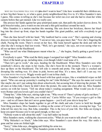WHY DO TEACHERS TELL YOU STUMPU don't want to hear? Like how wonderful their children are, or how big their house is, or what a quiet, pretty neighborhood they live in. It's Miss Saunders's turn, I guess. She comes in telling us she's late because her toilet ran over and she had to clean her white carpets before they got stained. Like we really care.

She presses her hands against her gray pinstriped pants suit, then pulls the jacket sleeves down. No gold bracelet today, just a watch on one arm and a thin gold necklace around her neck.

Miss Saunders is a motion machine this morning. She sets down her briefcase, throws her black bag into the closet up front, slaps her hands together like giant paddles, and tells everybody to get quiet.

Then she fans herself with her hand. ″My landlord had to come over.″ She's opening and closing drawers looking for who knows what. ″I am never late, you guys know that.″ Now she's fingering the chalk. Pacing the room. There's sweat on her face. She leans herself against the desk and rubs her chin like she's trying to find lost words. ″Well, let's get started,″ she says, not even seeing what we all see up there on the blackboard.

″Who can tell me what Shakespeare meant when he …,″ she begins, finally getting a good look at our faces.

Everybody is quiet. ″Who read the thirty pages I assigned last night?″ Miss Saunders asks.

Most of the hands go up, including mine, even though I didn't read none of it.

″Then let's get to work,″ she says, heading for the blackboard. When Miss Saunders sees what somebody's drawn, she stops in her tracks, like she's been hit in the stomach. There's a woman's face up there on the blackboard. The left side is smooth and pretty. The right side is cracked and drooping like melting wax. It's done in pink, brown and blue. It's a mess, that's all I can say. The TEACHER WITH TWO FACES. Wiggly words spell it out in blue chalk.

Miss Saunders's big hands erase the board with four quick swipes, like a windshield wiper on full speed. ″Who can sum up yesterday's reading for me? John McIntrye?″ She says his name real weird, like maybe she ain't just asking him about schoolwork, but accusing him of drawing the picture. We all stare at John-John. I know he didn't draw the picture. He came into class after me. Miss Saunders carries on with her lesson. ″Tell me about today's reading assignment. What would you do if you were Romeo and you loved a girl you couldn't have?"

″Dump her,″ John-John says, staring right at me. ″Why sweat it? There's plenty of girls out there.″ Everybody laughs. ″John-John, you would not,″ Carrie Miller says. ″If you ever*got* a girl to like you— and we all know that ain't never gonna happen— you'd sell your skin to keep her.″

Miss Saunders slaps her hands together to get off the chalk and asks Carrie to hold her thought. Next thing you know, Miss Saunders is sitting on the corner of Carrie's desk, crossing her legs. ″Let John tell his story his way. But John, remember. This is the love of your life. Her folks are trying to keep you apart because you're not good enough, so they say.″

″Nobody wants to talk about this stuff,″ I say half under my breath.

Miss Saunders starts, walking the classroom aisles. ″What *do* you want to talk about?″ she asks us. ″Why Maleeka's so black,″ John-John says. Miss Saunders's eyes shoot his way. Her smile is gone and her arms are folded tight.

″Sorry,″ John-John says, shrugging and folding his arms too.

″Out of my room, John-John.″ Miss Saunders points to the door.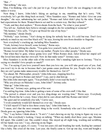″But—″

″But nothing,″ she says.

Man, I'm thinking, why can't she just let it go. Forget about it. Don't she see dragging it out only makes it worse.

Next thing I know, John-John's faking an apology to me, mumbling that he's sorry. ″OK, everybody, let's get this thing back on track,″ Miss Saunders says. ″Romeo and Juliet. Give me your thoughts,″ she says, unbuttoning her suit jacket. ″Romeo and Juliet didn't play by the rules. People had expectations for them. Wanted them to act and be a certain way. But they refused."

″Yeah, and they died anyhow,″ Worm shouts from the back. ″So what is your point?″

*″You* tell *me.* Anybody here believe strongly enough to die for something or someone?″

″My homies,″ Eric yells. ″I'd give up blood for one of my boys.″

″My momma,″ shouts Desda.

″Nobody,″ says Jerimey. ″Ain't doing no dying for nobody but me. It's cold but true. Don't love nobody as much as my own fine black self,″ he says, kissing his arm from shoulder to fingertip.

Now everybody's cracking up, including Miss Saunders.

″Yeah, Jerimey loves hisself, some Jerimey,″ Raina says.

Jerimey starts rubbing his cheeks. ″You gotta love yourself, baby. If you don't, who will?″

″Romeo loved Juliet. My father loves my mother. People love other people,″ Desda says.

″But when they're gone, whose gonna love you? When Romeo died, Juliet killed her stupid self. She loved him more than her own self. Now do that make sense?″ Jerimey says.

Miss Saunders is on the other side of the room now. She's standing right next to Jerimey. ″You're saying we shouldn't love people so much?″

″No. I'm saying if you love yourself more than you love me, you will take good care of you. And, you won't try to do me in because that's just gonna cause problems for you. People who love who they are ain't gonna make unnecessary trouble for themselves. Get it?″

″Go ahead, Mr. Philosopher, preach,″ John-John says, slapping him five.

″Can we get back to Romeo and Juliet?″ I say, just to shut him up.

But John-John interrupts again. ″You probably didn't even read the book.″

″Why you always on Maleeka's case, John-John?″ Jerimey asks.

″Shut up,″ John-John says.

″Make me,″ Jerimey says, getting out of his seat.

I'm smiling big-time. John-John is getting a taste of some of his own stuff. I like that.

″The period is almost over and you two ding-dongs are wasting time,″ Worm says. Everybody looks at Worm like he's crazy. Since when did *he* care about stuff like Romeo and Juliet?

″Be quiet and let somebody else talk,″ Carrie says.

″I wish somebody would kill themselves over me,″ Desda says.

″I'd kill myself if I had to kiss those crusty lips,″ John-John butts in.

″I mean, ain't that the most romantic thing in the world. Somebody who can't live without you?″ Desda goes on, ignoring John-John.

″No,″ I say before I think about it. ″It ain't.″ I start chewing on my lip, trying to figure my way out of this. But everybody's looking. I keep on talking. ″When my daddy died three years ago, Momma fell apart. She couldn't eat. She couldn't sleep. She stayed up all night long, washing and scrubbing till her hands was raw,″ I say, chewing on my finger.

The class gets so quiet, it's scary. ″I was ten years old and brushing her teeth, feeding her oatmeal like a baby. She cried all the time. Last year, she finally came to. Got up one day, went and bought a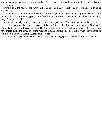sewing machine, and started making clothes. Ain't never sewed nothing before. Just started, day and night, sewing.″

Some kids at the back of the room start to snicker and make smart remarks. Shut up, I'm thinking. Just shut up.

″The more she sewed them clothes, the better she got. She started picking up after herself. Got a job and all. No, ain't nothing good come from loving somebody so much you can't live without 'em,″ I say. ″No good at all.″

Maria asks me why nobody in our family came to help me and Momma out when my daddy died.

I say that we don't have no relatives, but that ain't the truth. Momma's got a sister in New York. Daddy had brothers all over the place. But they weren't close. And getting in touch with them would have meant taking me away or putting Momma in some institution someplace. I wasn't having that, so we lived off Daddy's Social Security and savings.

The classroom gets quiet again. Then the bell rings, busting up the silence like a fist through glass.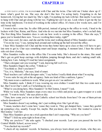A FEW DAYS LATER, I'M HANGINGUL with Char and the twins. Char told me I better show up if I know what's good for me. She says she don't like how I'm acting lately. Forgetting to do her homework. Giving her too much lip. She's right, I'm pushing my luck with her. But maybe I can learn to hang with Char and get along with her too. Fighting her ain't no use. Look where it got me the last time in the lunchroom. I'm tired of working in the school office. It's been a few weeks now, and I'm still bored stiff.

I want to have some fun. So after fifth period, instead of going to the office to work, I head to the lockers with Char, Raina, and Raise. And who do we run into but Miss Saunders, who's on hall duty. The first thing Miss Saunders does is ask me how work is coming in the office. Then she says,*″I* guess you're headed there now. You *are* working there today, right?″

Char stays cool, for once, and she and the twins start walking ahead of Miss Saunders and me.

″I'm on my way,″ I say, turning back around and walking up the hall toward the office.

I hear Miss Saunders tell Char and the twins they better hurry up to class or they will have to get  $\varepsilon$ late note to get in. Char says something smart and keeps stepping. A moment later, I hear the school side exit door closing.

Miss Saunders walks me to the office like I'm some baby. She's dressed to the nines, like usual. She's got on gold hoop earrings with dolphins jumping through them, and she's making small talk. Asking how I am. Asking if I read her latest assignment.

″That a designer suit you wearing?″ I ask, knowing full well it is.

Miss Saunders fingers the collar. ″I think so.″

″You think so. Don't you know?″

″Yes, it is, Maleeka,″ she says, kind of smart.

″Real teachers can't afford designer suits,″ I say before I really think about what I'm saying.

″I wore suits for my job at the ad agency. Suits are kind of like a uniform, I guess.″

″My mom wears a uniform to work. What you got on *ain't* no uniform.″

Miss Saunders nods. I think if I was wearing my own clothes I would feel like two cents next to her. But I'm in Char's stuff, so I'm holding my own.

″What're you doing here, Miss Saunders? At McClenton, I mean?″ I ask.

While we walk, Miss Saunders stops every once in a while and picks up a gum wrapper or a soda can tab. ″I want to teach,″ she says plain as day.

″Then, how come you're not at that Catholic school ten blocks from here? Or one of them private schools downtown?″

Miss Saunders doesn't say nothing, she's just walking slow like I got all day.

″I mean, teachers don't come here 'cause they want to. They get dumped here, 'cause they goofed up someplace else, usually. Except Tai, maybe. But you know, she's weird. She wanted to come to McClenton,″ I tell her.

Then Miss Saunders gives me a trick question that I ain't expecting. ″Why are *you* here?″

″What?″ I fold my arms tight in front of me.

″Why are you *here?″* she asks again. ″I checked your records. Last year you passed the test for Central Middle School, across town.″

″You checked my records?″

″I check all my students' records. In business, you always learn about your clients, who they are,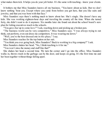what makes them tick. It helps you do your job better. It's the same with teaching—know your clients. ″

It bothers me that Miss Saunders knows all my business. ″You know about us kids. But we don't know nothing 'bout you. Except where you came from before you got here, that you like suits and jewelry, and that you was born with that face.″

Miss Saunders says there's nothing much to know about her. She's single. She doesn't have any kids. She was working eighteen-hour days and traveling the country all the time. When she turned forty, she didn't want to do it anymore. Six months later she found out about the school board's new plan for letting executives teach in the schools.

″You gave *that* up to come *here?″* I ask, reaching down and picking up a broken pen.

″The business world can be very competitive,″ Miss Saunders says. ″I was always trying to outthink, out-perform, even out-dress my competitors. It was wearing me down.″

″Well, you're the best-dressed one in *this* place,″ I say.

Miss Saunders reaches for the top button on her suit.

″You think you ever going back, Miss Saunders? Back to working in a big company?″ I ask.

Miss Saunders shakes her head. ″No, I think teaching is it for me.″

″You won't miss the money and stuff like that?″

She shakes her head a second time. We turn the corner and I go into the office. Miss Saunders walks in, throws trash in the garbage can by the door, and keeps on going. It's the first time me and her been together without things falling apart.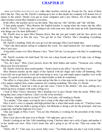MISS SAUNDERS HAS REALLY GOT Althe other teachers stirred up. Except for Tai, most of them don't like her. They say Mr. Pajolli's sucking up to her so that maybe her company will donate lots of money to the school. Maybe even get us some computers and a new library. All of this makes the other teachers resent Miss Saunders even more.

In the office, the teachers never say her name. They just say ″she″ did this, and ″she″ did that.

″I hate pushy people,″ Miss Benson, the English teacher is saying when she comes into the office with Mr. Pajolli. ″Every day, she's coming to me with some new idea she came up with. Questioning why things can't be done differently.″

Mr. Pajolli tries to quiet Miss Benson down. But she just gets louder and her face grows red. Raising her finger to him she says, ″You get her in line, Charles. She's disrupting everything. *Everything.″*

Mr. Pajolli's nodding, while his eyes go over the messages Miss Carol hands him.

″That's the third parent calling to complain this week. Too much homework. Too much reading,″ Miss Carol says.

A big smile comes over Miss Benson's face. ″Don't tell me. Let me guess who they're complaining about.″

Mr. Pajolli scratches his bald head. He lets out a deep breath and says he'll take care of things. Then the phone rings.

″Yes, he's here.″ Miss Carol presses down the hold button and smiles. ″Someone else calling about your favorite person.″

Mr. Pajolli clicks his false teeth together. ″Send it back to my office,″ he tells Miss Carol.

Miss Benson touches up the edges of her lipstick with her finger and walks off humming. Miss Carol tells me to get back to work and stop being so nosy. I go and staple papers together over in the corner. It's good to see teachers get in as much trouble as kids do sometimes.

The office is a busy place. Folks come and go like this is a bus stop on the corner. As soon as I get a few papers stapled, here comes someone else wanting something. This time, it's Desda.

″Hey, Maleeka. I need me a note to get into class. I been to the dentist,″ she says, pulling out a balled-up piece of paper with some writing on it.

I look in Miss Carol's direction. She's heading over to give Desda what she needs. While she's doing that, here comes Charlese. I don't see the twins nowhere.

″Charlese, shouldn't you be in class?″ Miss Carol asks, still tending to Desda.

″In a minute,″ Char snaps, waving for me to come to the other end of the counter.

Miss Carol's voice is squeaky and high-pitched like a wheel that needs some oil. ″Charlese Jones. I don't know what you think is going on here, but Maleeka is doing a job for the principal. And you, young lady, had better high-tail it to class.″

Char just laughs at Miss Carol. ″You act like Maleeka is working for the president of the United States. *Man.″*

Miss Carol shoves the note over to Desda. ″All right now, get to class.″

Desda's looking at me like I did something wrong. Charlese takes out a stick of gum, and pushes it in her mouth real slow. Miss Carol looks like she's going to go off on her. Then out comes Mr. Pajolli.

″Hello, Mr. P.,″ Char says, in a sweet, baby voice. ″You think maybe one day I can work in here,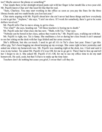too? Maybe answer the phone or something?″

Char stands there in her skintight striped pants suit with her finger in her mouth like a two-year-old. Mr. Pajolli knows Char ain't the least bit like that for real.

″Sure, Charlese. You may start working in the office as soon as you pay the fines for the three library books and two math books you lost last year.″

Char starts arguing with Mr. Pajolli about how she ain't never had those things and how everybody is out to get her. ″Anyhow,″ she says, ″I ain't no slave. If I work for somebody, there's got to be some dollars involved.″

Mr. Pajolli tells Char to move along, to get to class.

″For what?″ she says, heading out. ″All these teachers is boring me to death.″

Mr. Pajolli asks her what class she has now. ″Math, with Tai,″ Char says.

″Nobody can be bored in her class, unless they want to be,″ Mr. Pajolli says, walking out with her. Mr. Pajolli is right, too. Tai *is* funny. She meditates a lot so during her class break it ain't unusual to see her sitting on the desk with her legs folded and her arms crossed.

She's different, but she *can* teach. I used to get all A's in Tai's class last year. Since I got this office gig, Tai's been bugging me about keeping up my average. She came right in here yesterday and asked me where my homework was. Mr. Pajolli was standing right at the desk, too. I lied and said it was in my locker. Tai asked Mr. Pajolli if it was OK for me to go get it. Then I had to fess up and tell her I forgot to do it. She asked Mr. Pajolli if it's OK for me to use my office time to do my math homework. He said, yeah, but that I'd have to make up the time later.

Teachers don't do nothing but cause you grief, I swear that's all they do.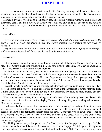YOU GETTING SOFT, MALEEKA, I SA**to** myself. It's Saturday morning and I been up two hours already writing this stuff for Miss Saunders. If Char or the twins knew about this, they would think I was out of my mind. Doing schoolwork on the weekend. For fun.

Momma's trying to work me to death today, too. She got me washing windows and clothes and everything else. I tell her I have to do homework. That's the only thing that got me off the hook for now. So here I am, trying to think something up before I head to Char's. It's coming slow, but it's coming.

#### *Dear Diary:*

*The sea is wild and mean. Water is crashing against the boat like a hundred angry lions. My body is wet with sweat and throw-up from the others pressing close around me like sticks of firewood.*

They chain us together like thieves and beat us till we bleed. I have made up my mind, though. I *will show no weakness. I will be strong. Strong like the sea and the wind.*

#### —*Akeelma*

I finish writing, throw the paper in my drawer, and run out of the house. Momma don't know I'm headed for Char's place. She wouldn't like it. She says Char's sister, Juju, lets Char do anything she wants. Lets her run wild. Momma's right about that.

Just before I'm about to leave, Sweets calls. She asks why am I going to Char's if I'm trying to shake Char loose. ″I'm bored,″ I tell her. ″I don't want to go to the avenue or hang out here at home. Besides, Char asked me to come over. Her sister's got some new things. I was going to say no. Then she mentioned something about a black-and-gold skirt set.″ I can hear Sweets listening on the other end of the phone. She doesn't say much before she hangs up.

I thought I would be at Char's by one o'clock. But Momma keeps finding things for me to do. I have to clean out the cabinets, sweep, and take clothes to wash at the laundromat. I swear Momma thinks I'm her slave. She don't even want to pay me a little something for doing so many chores. She says it's my house, too, and that I should be glad to help.

When four o'clock comes, I'm knocking on Char's door. Can't nobody hear me, though. The music's too loud. Some African stuff is playing. Drums are beating. Singers are making animal noises. Maracas are shaking.

I push open the broken screen door and go inside. Juju is jamming. Her and about ten other people are dancing. They're rubbing up on one another. When I'm halfway across the room, a man with dreadlocks down to his belt jumps in front of me and says, ″Come jam with us, little sister.″ Then he starts moving like he's a snake. I shake my head and run up the steps. Juju tells the dreadlocked brother to turn up the music and leave me alone. The music gets louder and so do the pots and sticks people are banging on.

I'm thinking that the party's just got started. But Char says it's finishing up from last night. I ask her how she sleeps through all the noise. She says she ain't been to sleep yet. That she gets paid big bucks from Juju to keep glasses clean, ash trays emptied, and food coming. ″I don't mind missing sleep for a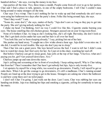hundred dollars," she says, waving the money in my face.

Juju parties all the time. Two, three times a month. People come from all over to go to her parties. Char and I find a place to talk, upstairs, in one of the empty bedrooms. I tell Char I couldn't stand being around so many strangers all the time.

Char says I'm a wimp. That it ain't nothing for her to wake up and find somebody she ain't never seen using her bathroom two days after the party's done. Folks like being around Juju, she says.

″Don't they work?″ I ask.

″Some do, some don't,″ she says, matter-of-factly. ″Juju don't care as long as they pay to get into the party. She ain't giving nobody nothing for free.″

I shake my head. I'm thinking, Ain't no way I could live like this. Cigarette smoke burning your eyes. The house smelling like old chicken grease. Strangers passed out on your living room floor.

None of it bothers Char. As long as she's looking fine, she's all right. But today, she don't look so hot. She's got dark circles under her eyes and her hair is all over her head.

″You look like you've been sleeping already,″ I say, picking lint out of her hair.

She pushes my hand away. ″I caught me a few winks about a hour ago. Juju didn't even miss me. If she did, I would be in real trouble. She says she don't pay me to sleep.″

Then Char lets out a giant yawn. She lays herself across the bed. I want to tell her I didn't come here to watch her sleep, but I feel sorry for her. So I just sit in the chair, watching her nod off.

But before Charlese can get to sleep good, Juju yells at the top of her lungs.*″Charlese,* what am I paying you for, girl? Get yourself down here. *Now.″*

Charlese jumps up and runs down the stairs.

Juju's yelling and screaming at her in front of everybody. I keep asking myself, Why is Char taking that from her? Then I remember that Char hasn't got nobody but Juju. Juju is only twenty-five.

I sit upstairs by myself for a long while, too scared to go downstairs. Finally, I tell myself to get on outta there. When I do get the courage to go downstairs, it's still a madhouse. Char's running around. People are lined up at the door trying to get in the house. Strangers are asking me where the bathroom is and how come there ain't no toilet paper.

I don't tell Char I'm going. I just walk out the door. Last I seen, Char was rubbing her eyes and handing out drinks. Juju was shaking her hips and smoking a cigarette, yelling for somebody to turn up the music.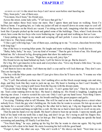AS SOON AS I GET TO the street two boys I ain't never seen before start hassling me.

″Hey, bean pole,″ one of them says.

″You mean, *black* bean,″ his friend says.

Across the street, some lady yells, ″Y'all leave that girl be.″

That just makes those boys tease me more. But I ignore them and keep on walking. Soon I'm halfway home. I'm getting hot, so I take my jacket off and sit myself down on some steps to cool off. Most of the houses on the block are vacant. I'm sitting on the curb, imagining what this street would look like if people picked up the trash and gutted some of the buildings. Then, when I look down the street, here come the two boys who were bothering me. I get up and start walking as fast as I can.

I keep putting my finger in my mouth and scraping off nail polish. I cross the street even when I don't have to. They keep coming.

″I like a girl with long legs,″ one of them says, catching up to me. ″A sweet, chocolate brown baby with long legs."

One of the boys is wearing biker pants. He laughs and starts walking faster. I walk fast too.

″Baby, baby, baby,″ he says, ″you my kind of woman.″ Then he gets in front of me. His friend gets behind me. He's dressed in big, drooping pants that show his underwear.

″Give me a little kiss,″ he says. ″Right here on my soft, juicy lips.″

His friend twists my hand behind my back. I yell for him to let me go. But he doesn't.

He's big. He's got muscles in his neck and everywhere else. ″Give my friend a little kiss,″ he says, pushing me toward the other kid.

I tell them to leave me alone. I tell them my dad's a cop and he will lock them up. They don't care. They are having fun.

The boy with the biker pants says that if I just give him a kiss he'll leave me be. ″I wanna see what you taste like, is all.″

*<sup><i>''No*, "I yell. But nobody can hear me. Ain't nothing alive on this block except mangy cats and stray</sup> dogs, and they look like they want to jack me up, too. My heart is beating so fast I can't breathe. ″I ain't playing,″ I say, trying to pull loose from the big one with the droopy pants.

″You pretty black thing,″ the biker pants kid says. ″I ain't gonna hurt you.″ Then he closes in on me. Tears come running down my face. My head is shaking no. His friend is laughing. Laughing and shoving me closer. I want to scratch his eyes out. Only I can't get my hand loose. Next thing I know, the biker pants guy is standing over me, his breath smelling like green peppers and garlic.

I'm crying. Thinking what to tell Momma. She will be mad at me for walking down a street where nobody lives. I kick the guy who's holding me. He looks like he wants to scream. He lets up on one of my hands for a second while he's yelling for the other kid to hurry up. I dig my fingernails into that other boy's stomach and hang on tight like a crab. He hits me so hard a knot starts to swell on my arm.

Then he puts his hand over my mouth. My heart's about to beat me up inside. I open my mouth, grab hold of his hand with my teeth like a mad dog, and don't let go. He's trying to pull his fingers free. But he can't. He's screaming for me to let him go. But I hang on. He's punching me upside the head. screaming and punching, till finally I set him free.

″You black thing,″ he says, putting up his big fist like he wants to slam me again. My big teeth marks have left a dent in his hand. He starts loosening his belt with his good hand.

″Forget it, man,″ the other one says. ″She ain't worth it.″ He shoves me hard. ″Next time we see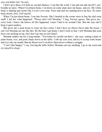you, you better run,″ he says.

I don't give those evil kids no second chances. I run like the wind. I run and run and run till I can't breathe no more. When I'm almost home, I sit down on some steps near my house, and cry. My whole body is shaking and seems like it won't ever stop. Tears and snot are running down my face. No more back streets, fool, I tell myself.

When I'm just about home, I run into Sweets. She's headed to the corner store to buy her dad some snuff. I tell her what happened. "Please don't tell Momma," I beg. Sweets agrees. She gives me a sorry look. I know she knows all this happened 'cause I had to be around Char. But she says she'll keep it quiet anyhow.

She gives me a used tissue to wipe my face clean. I don't have no choice but to take the tissue. I can't let Momma see me like this. By the time I get home, I don't look so bad. I tell Momma that some boys was picking on me, but I don't go into no real detail.

Momma studies me for a long minute. ″You better be careful out there,″ she says, setting a plate of pinto beans, rice, and pork chops down on the table. I rub my sore arm, and try to scoop some beans and rice into my mouth. But my throat won't swallow them down without a struggle.

″I ain't that hungry,″ I say, leaving the table before Momma can say anything. I go to my room and cry myself to sleep.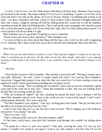IT'S BEEN A MONTH NOW, AND all I think about is that thing with those boys. Momma's been saying I got my head in the clouds. She keeps asking if I'm in love or something. I spend a lot of time in my room and don't even talk on the phone, not even to Sweets. Mostly, I'm thinking and writing in my diary—*our* diary, Akeelma's and mine. Lately it's hard to know where Akeelma's thoughts begin and mine end. I mean, I might be starting off with her talking about how scared she is with the smallpox spreading around the ship and killing people. Then I end up the same paragraph with Akeelma saying she's scared that maybe people will always think she's ugly. But I'm really talking about myself. *I'm* scared people will always think *I'm* ugly.

Miss Saunders says it's good that I'm getting so close to Akeelma.

″Good writers get close to their characters,″ Miss Saunders says.

I've even written in our diary about that thing with the boys, only it ain't *me* the stuff is happening to, it's Akeelma. She's there on the boat, up on deck when the men running the ship come after her.

#### *Dear Diary,*

Where do you run when there's no place to run? They had me trapped. I could see no way out. Then I scratched one on the face, bit the other on his fat, dirty hands. And when I was running running to hide deep in the crowd up there, I saw someone I knew. It was Kinjari! Kinjari is not *dead!*

#### —*Akeelma*

I showed this last part to Miss Saunders. She said this is powerful stuff. "Writing is clearly one of your gifts, Maleeka,″ she said. I know it sounds stupid, but when I was leaving Miss Saunders's classroom, I hugged them papers to my chest like they was some boy I've been wanting to press up against for weeks. It feels good doing something not everybody can do.

Momma got a saying: ″Don't go getting full of yourself 'cause soon as you do, somebody's gonna come and let the wind out of your sails.″ Today that somebody is Char. She sees me walking down the hall like I'm wearing clouds for shoes.

″Why you looking all stupid?″ she asks, plucking me upside the head. Like a dummy, I tell her about Miss Saunders and my work. Soon as the words are out, I want to kick myself. I said I wasn't telling nobody about this. Now look what I did.

″You Miss Saunders's pet, anyhow,″ Char says, sticking gum in her mouth. ″She got you that job in the office just to keep you away from me, I bet.″

I start to tell Char that ain't so, but she don't want to listen. ″We're hanging out in the bathroom next period. You coming?″ she asks.

″I have to work,″ I say.

″That's what good little slaves do, obey their masters, right?″

If Char knew, really knew, what girls like Akeelma went through, she wouldn't be talking down slaves.

″You gonna be a slave, or your own master?″ Char asks, crossing her arms. If I was my own master, I wouldn't ever speak to you again, I want to say. But, instead, I just tell Char I'll see her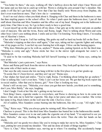later.

″You better be there,″ she says, walking off. She's halfway down the hall when I hear Worm call her name and see him run to catch up with her. Worm is sliding his arm around Char's shoulder. She yanks it off like he's got body odor. Now that Char has finally stole Worm away from Daphne, she don't even want him no more. That's how she is—sometimey.

It ain't no real choice when you think about it. Hanging with Char and them in the bathroom is more fun than stapling papers in the school office. So when I push open the bathroom door, I put all that stuff about Akeelma and Miss Saunders and the office out of my head. Hanging out in the bathroom is party time, Char likes to say. So I go in there ready to have a good time.

I scoot myself up on the sink and kick off my shoes. Char gets up in the mirror and puts on another coat of mascara. She and the twins, Raise and Raina, laugh. They're talking about Worm and some other boys I don't care nothing about. I smile and act like I'm listening. Next thing I know, I'm reading one of Akeelma's letters.

Char asks what I'm up to. I tell her nothing. She grabs my stuff so hard my books fall on the floor.

″Maleeka's tripping on that slave stuff again,″ Char says, taking out her cigarette lighter and setting one of my pages on fire. I can feel my ears burning hot with anger. I blow out the burning papers.

″Why does Maleeka got to be with us, anyhow?″ Raina asks, putting lipstick on for the third time. ″Maleeka is corny and ugly.″ Raise sticks her face in the mirror right alongside her sister's. A matching set.

″It used to be fun watching Maleeka half kill herself learning to smoke,″ Raina says, cutting her eyes at me.

″But Maleeka's just a pain now,″ says Raise.

Raise and Raina pull back from the mirror at the same time. They both puff up their hair and scratch the same side of their necks at once.

Char says the only reason she lets me hang with her in the first place is to get her grades up.

″It seems like it's been forever, and they ain't up yet,″ Raina says.

Char shakes her head and smiles. ″You're right, Raina. I'm thinking about letting her go anyhow.″ Char is talking like I ain't even here. ″Only I can't cut her loose yet. We got that big book report due in social studies. After that you're history, girl.″ Now Char is looking my way.

Raina's still on my case. ″Maleeka, ever since you got that new hairdo, you think you're something, don't you, Miss Baldy,″ she says, laughing.

I don't laugh. I look at her like she's getting on my last nerve.

Next thing I know, cigarette smoke is everywhere, and Raise is showing us how to do some new dance. Char asks me to hold her cigarette. She digs in her purse and takes out a marker. She writes her name in big, black letters on the wall near the sink: *Charlese Jones.*

All of sudden, Miss Saunders comes busting into the bathroom, like she's a cop. ″All right,″ she's says.

″Dag,″ Raise says. ″Why you always gotta be ruining stuff, Miss Saunders?″

Charlese is pissed. This is the third time Miss Saunders has busted her in the bathroom this month.

Miss Saunders comes over to me and yanks the cigarette out of my hand. ″I'm surprised to see you here, Maleeka,″ she says, flushing the cigarette down the toilet. Then she rubs her hands on her slacks.

″Maleeka ain't no goody two-shoes like you're trying to make her out to be, Miss Saunders,″ Char says, putting her arm around my shoulder. ″Her and me done all kinds of things together.″

″Save it, Char,″ Miss Saunders says, moving up to where I'm standing. She accidentally bumps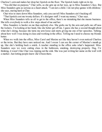Charlese's arm and makes her drop her lipstick on the floor. The lipstick lands right on its tip.

″You did that on purpose,″ Char yells, as she gets up on her toes, up in Miss Saunders's face. But Miss Saunders gets as serious as a heart attack. ″I am not a child. I do not play games with children,″ she says, staring hard at Char.

Char tries to stare down Miss Saunders, only you can tell Miss Saunders ain't backing off.

″That lipstick cost me twenty dollars. It's designer stuff. I want my money,″ Char says.

When Miss Saunders tells us all to get to the office, there's no mistaking that she means business. She tells everybody to walk a few steps ahead of me and her.

Miss Saunders is harder on me than anybody else. She grabs me by the arm and pulls me off near the lockers. I'm looking at her hand, like she better get off me. I guess she has a second thought about what she's doing, because she turns my arm loose and starts giving me one of her speeches. Talking about how well I was doing in class and working in the office. Telling me I need to choose my friends better.

When we walk into the office, Miss Carol and Maxine act like they haven't even noticed Charlese or the twins. But they have sure noticed me. And I swear I can see the corner of Maxine's mouth gc up, like she's holding back a smirk. A teacher standing in the office asks what's happened. Miss Saunders says we were cutting class in the bathroom, smoking, destroying property. Dag, I'm thinking, it wasn't like Char was ripping out the sink. She was just writing her name on the wall with a marker. Just letting people know she'd been there.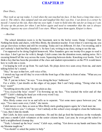#### *Dear Diary*,

They took us up top today. I cried when the sun touched my face. It has been a long time since 1 seen it. The others, they jumped and ran and laughed like they was free. I sat down in a corner by myself. I stared at the sun, then shut my eyes tight. I want to hold onto the sun for as long as I can. To save up the picture for when I am below again and need to remember that the sun is always *shining. I squeeze my eyes closed till I see stars. When I open them again, Kinjari is there.*

#### —*Akeelma*

The school detention room is in the basement, next to the boiler room. Damp. Cramped. Hot. Nothing but desks and chairs, with Miss Birdy, the detention teacher. Even when it's snowing out, you can go sleeveless in there and still be sweating. Today ain't no different. It's hot. I'm sweating, and it ain't nobody's fault but Miss Saunders's. So here I am, writing in my diary, trying to see the sun.

I'm supposed to be doing English homework. Miss Saunders gave me twenty-five pages to read in two days. I don't get too far with it, though. Caleb comes into the detention room, making noise. He's excusing himself all the way across the room. Squeezing between desks. Knocking over books. You'd think a boy that has been the president of the class and student representative on the PTA would know how to walk into a room.

I'm hoping he will sit up front. No such luck. He plops down two seats away from me, and starts talking before he's seated.

″Hey,″ he says in that low, soft voice of his.

I stretch my legs out till they're even with the front legs of the chair in front of mine. ″What are *you* doing here?″ I ask.

″Mr. P. put me in here,″ he says. ″I was doing the boys' bathroom.″

For a while, I just doodle on the edges of my paper. But I can't help asking, ″Doing what in the boys' room?″

″Scrubbing down the joint,″ he says plain as day.

″You *cleaned* the boys' room?″ I'm frowning up my face. ″You touched the toilet and all that stuff?″ Caleb's shaking his head yes with every word I say.

″Disgusting.″ I suck my teeth.

Miss Birdy comes over to us and tells us to separate. ″Get some more space between you,″ she says. ″Two more seats over, Caleb,″ she insists.

Caleb moves over, then, as soon as Miss Birdy starts grading papers again, he's back near me.

″I don't believe you,″ I whisper. ″Ain't nobody at this school crazy enough to clean the bathrooms, ″ I say, then I shut my mouth.

But Caleb, he does seem crazy sometimes. He and his dad go feed the homeless on the weekends, and once a month Caleb volunteers at the senior citizens home. Last year, he even got the school to hold a neighborhood cleanup day.

″Yeah, I cleaned up the boys' room,″ Caleb says, smiling. ″Got down on my hands and knees like my Momma taught me.″

″You should've asked the janitor to help.″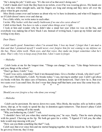″He's doing his job,″ Caleb says. ″It's the rest of us that aren't doing ours.″

Caleb's hands don't look like they been in no toilets, even if he was wearing gloves. His hands are big, with nice white straight nails, and his fingers are long and strong and they move all over the place when he gets excited.

Miss Birdy comes over and lectures us about why we're here in detention, and what will happen to us if Caleb doesn't move over and shut up.

For a little while, we write notes to each other.

I write: *Why bother with that smelly bathroom if no one else cares about it?* Caleb writes back: *You have to take a stand when things aren't right.*

I look at him and wonder why he didn't take a stand last year when we was on the bus, and everybody was making fun of how black I am. Instead of writing back, I open up my folder and start writing in my diary.

#### *Dear Diary:*

*Caleb smells good. Sometimes when I'm around him, I lose my head. I forget that I am mad at* him and that I promised myself I would never, ever forgive him for not coming to my defense on *the bus. Those white teeth. Them eyes, and that voice, they make me forget sometimes what he's done. That's why I try to keep away from him. I don't want to forget.*

#### —*Maleeka*

Caleb looks at me for the longest time. ″Things can change,″ he says. ″Like things between me and you, things at the school.″

″Don't go there, Caleb,″ I say.

″I said I was sorry, remember? Said it ten thousand times. Give a brother a break, why don't you?″

″This ain't McDonald's, Caleb. No breaks today,″ I say, moving to another seat. Caleb's got about six books with him. He takes care of business, keeps up with homework. That's how he is. But even two seats over I can smell him. He don't wear that cheap stuff that hurts your nose like some boys do.

#### *Dear Diary:*

*Should you ever forgive a boy who done you wrong?*

#### —*Maleeka*

Caleb can be persistent. He moves down two seats. Miss Birdy, the teacher, tells us both to settle down, shut up, or be ready to spend the day in detention again tomorrow. That doesn't phase Caleb none. He keeps running off at the mouth.

″Why you bothering me, Caleb?″ I ask.

″I shouldn't have left you when they started teasing you,″ he says, finally. Then he starts playing with his pencil. Chewing on his lip. We both get quiet for a while. "I figured if I left you, the other kids would stop messing with you.″

″How can you think something like that?″ I ask.

Caleb says that ever since him and me started hanging together, the kids teased me. So he figured if he got away from me, they'd stop.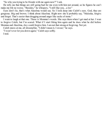″So why you trying to be friends with me again now?″ I ask.

He tells me that things are still going bad for me even with him not around, so he figures he can't make my life no worse. ″Besides,″ he whispers, ″I still like you…a lot.″

Eyes don't lie, that's what Akeelma would say. So I look deep into Caleb's eyes. God, they are gorgeous. Big and brown. I think about Akeelma. Right now she'd probably say, ″Maleeka, forgive and forget. That's easier than dragging around anger like sacks of stone.″

I want to laugh at that one. Those is Momma's words. She says them when I get mad at her. I want to forgive Caleb, but I'm scared. What if I start liking him again and he does what he did before. Momma and Akeelma, *they* could forgive him. I am not that strong at forgiving. Not yet.

Caleb stares at me, all dreamylike. ″I didn't mean it, I swear,″ he says.

″I won't ever let you down again,″ Caleb says softly.

I nod.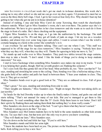MISS SAUNDERS IS CRAZ.YLast week she's got me stuck in in-house detention, this week she's asking me to stay after school so she and me can go over my diary again. I'd promised to meet her as soon as the three-thirty bell rings. I lied. I get to her room at four-forty-five. Why should I bust my but getting to her when she got me put in in-house detention?

Instead of rushing, I stay and help Miss Carol do some Xeroxing, then watch the cheerleaders rehearse outside. When I get to Miss Saunders's room, she's not even there. The janitor says she's in the auditorium. We have to give speeches in her class tomorrow and she wants us to each do it from the stage in front of a mike. She's there checking out the equipment.

I figure Miss Saunders is on the stage, so I go into the auditorium by the backstage. The ninth graders are putting on *The Wiz* and they got all kinds of junk on stage. I hit my toe on a wooden monkey, and almost trip over some long ropes and cables. I want to scream when I see the witch's costume hanging on a hook in the corner like somebody's in it.

I can overhear Tai and Miss Saunders talking. They can't see me where I am. ″This stuff was supposed to be off the stage for my class tomorrow,″ Miss Saunders is saying. ″Nobody here does what they say they will, when they say they will. Thanks for agreeing to help me move it, Tai."

Tai stands up and walks over to Miss Saunders. They push two tables toward the stage curtains, then stop to take a breath. ″I don't mind. I like the kinds of things you're doing to keep students interested,″ Tai says.

I start to leave backstage when something Miss Saunders says makes me stop in my tracks. ″I wish it was helping their grades, though. Half my seventh graders are flunking this semester.″

Tai's eyes look like they gonna fall out of her head. Mine probably do, too. ″How can that be?″ Tai says, standing and stretching her arms to the ceiling. Then, bending over like a ballerina taking a bow, she grabs hold of her ankles and pulls her head in between them. ″I hear your students in class. They love it. They get so excited.″

Miss Saunders bends over to get a good look at Tai. ″They are so enthused in class. Full of great ideas.″

″That's great,″ Tai says, standing and stretching from side to side.

″Their insights are fantastic,″ Miss Saunders says. ″Right on target. But their test-taking skills are just terrible.″

Tai heads for the bed Dorothy wakes up in when she finally makes it home, and grabs one end and starts talking. ″That's not unusual for many of our kids. But you've managed to get them to like Shakespeare. To read something other than the *TV Guide.* Help them learn to test better. Don't kill their spirits by flunking them and making them think that nothing they've done really counts.″

Miss Saunders sits down on the edge of the bed. ″I can't give them what they haven't earned.″

″Nobody is asking you to do that,″ Tai says.

Miss Saunders says McClenton students have to be held to the same standards as other kids around the city. Tai says that's true, but that tests ain't the only way to prove you know something.

″They will thank me later,″ Miss Saunders says.

Tai sits down on the bed and folds her legs. ″If you're still here.″

Miss Saunders stands and folds her arms tight.

″I know the students have been hard on you. The picture on the blackboard. The name-calling in the halls. Kids telling you to buy a new face.″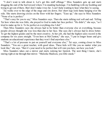″I don't want to talk about it. Let's get this stuff offstage.″ Miss Saunders gets up and starts dragging the end of the bed toward where I'm standing backstage. I'm fumbling with my bookbag and trying to get out of there. But I don't make it too far. I can't help wanting to hear what they're saying.

Tai walks over to the edge of the stage and sits down. Her short legs look funny hanging over the side. She starts drawing circles on the floor with her fingers. ″Ease up,″ she says to Miss Saunders. ″None of us is perfect.″

″That's easy for you to say,″ Miss Saunders says. Then she starts talking real soft and sad. Telling Tai how when she was little, she prayed to God to make her face perfect. ″He didn't,″ she says, ″so I tried to make up for it. To be perfect at everything else I did.″

Then Miss Saunders says she always had to be better than everyone else at everything, because people always thought she was less-than due to her face. She says she's always had to dress better. To get the highest grades and be the most creative. At her job, she had the highest sales record in the company for six years straight. ″Even here at McClenton,″ she says, ″I put in longer hours and give students an educational experience that they won't find anywhere else.″

″That's a lot of pressure to put on yourself and everyone else,″ Tai says, coming closer to Miss Saunders. ″You are a great teacher, with good ideas. These kids will like you no matter what you look like,″ she says. ″But it's your need to be perfect that will ruin you here, not how you look.″

Miss Saunders takes out a mirror and starts redoing her lipstick. The next thing I know, she's staring right at me through that mirror. ″Maleeka Madison, you little sneak.″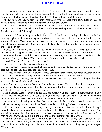IF IT WASN'T FOR TA,I I don't know what Miss Saunders would have done to me. Even from where I'm standing backstage, I can see that she's pissed. Teachers don't go for you knowing their personal business. That's the one thing besides hitting them that makes them go totally nuts.

All that yoga and kung fu stuff Tai does must really work because she's calm. Real chilled out. Miss Saunders is fidgeting. She is sitting there with her arms crossed.

Tai asks me to have a seat. Then she explains how it's not polite to listen in on other people's conversations. I know she's right. I tell her I won't repeat nothing I heard. Tai believes me, but Miss Saunders, she just ain't buying it.

I didn't tell Char nothing about the incident when I saw her the next day. Char is one of the kids flunking English, so I know hearing some dirt on Miss Saunders would make her day. But I keep quie about it. Besides, Miss Saunders is gonna get hers soon enough. Char told Juju she was flunking English and it's because Miss Saunders don't like her. Char says Juju told her not to worry. Juju says she'll handle things.

In class Miss Saunders says she wants to see me after school. It seems that woman don't know how to make nothing happen during the school day. She always makes you stick around later for her.

After school when I walk into Miss Saunders's classroom, she's got her feet on the desk and her head shoved all up in a book. When she sees me, she takes her feet down off the desk.

″Good. You came,″ she says. ″Sit, sit down.″

I sit down and hope she's gonna make it quick.

Miss Saunders is suited-down and buttoned-up tight, like usual. Today she's got on a blue suit with gold buttons, the same kind they got on navy uniforms.

″I wanted to speak with you, Maleeka.″ Miss Saunders starts rubbing her hands together, cracking her knuckles. ″About your diary. We never did discuss it. How is it coming along?″

Before she says anything else, I pull out papers and show her my stuff. I'm talking to her about Akeelma, like Akeelma's a real person.

Miss Saunders says my stuff is good. She tells me I get*two* A's for it. Says I can keep it up if I want to, but she won't make me. I look her up and down. I tell her I don't know what I'm gonna do. ain't for doing schoolwork when I don't have to.

Miss Saunders gets real quiet. She acts like she doesn't want me to leave. I'm missing the ″I Love Lucy″ show on account of her, so I stand up to go. She finally gets around to what she's been wanting to say all along, I guess. ″Have you told anyone about my conversation with Tai?″ Miss Saunders gives me a hard look and goes on about how important it is for a teacher to not have her personal business out among students. How it can ″undermind her credibility,″ whatever that means.

″Well, you don't need to worry,″ I say, coming closer to Miss Saunders's desk, ″I ain't telling.″ Some teachers got pictures of their family on their desks. Their kids, husbands, even their dogs. Tai, she got pictures of this little Korean girl she sends money to every month. Miss Saunders ain't got nothing or nobody on hers. It's like she ain't got no life except for her life at work.

Miss Saunders gets up, and paces the room. She don't know what to say next. I can tell. All this walking around she's doing is starting to get to me. I go to the blackboard and start drawing on it. ″You act like you're the only one in the world who's been teased,″ I say, looking her right in the eyes. ″Please. Look at me.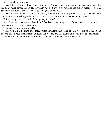Miss Saunders stiffens up.

I keep talking. ″Some of us is the wrong color. Some is the wrong size or got the wrong face. But that don't make us wrong people, now does it?″ I sit myself on my desk and put my feet up, like Miss Saunders had done. ″Shoot, I know I got my good points, too.″

Miss Saunders cracks a smile. ″Maleeka, you have a lot of good points,″ she says. Then she says how good I am at writing and math. And she starts in on me about bringing up my grades.

Before she gets too far, I ask, ″You got any friends?″

Miss Saunders hunches her shoulders. ″I've had a few in my time. It's hard to keep them, with all the traveling I did in my corporate job.″

″Tai and you are buddies, right?″

″Girl, you ask a thousand questions,″ Miss Saunders says. Then she answers me straight. ″Yeah, Tai and I have been friends since college. Tai was the one that suggested I come here to McClenton.″

I gather my books and prepare to leave. ″I'm glad you've got *one* friend,″ I say.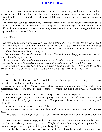I'M ALMOST HOME BEFORE I REMEMBERAT I want to enter my writing in a library contest. So I turn around, walk back to the library, and talk to the librarian. She says the contest winner will get one hundred dollars. I sign myself up right away. I tell the librarian I'm gonna turn my papers in tomorrow.

At home after I eat, I go straight to my room and rewrite all of Akeelma's stuff. I write them up real nice and neat. When I'm finished, I only have five pages. That ain't enough, I'm thinking. So I stay up half the night writing more. Momma comes to my room a few times and tells me to go to bed. But I beg her to let me stay up till I finish.

*Dear Diary:*

*Kinjari isn't so skinny anymore. They had him working the crew, so they let him eat good. I* cried when I saw him. I curled up in a ball and hid my face. Kinjari came closer, and sat next to *me. ″There is no one more beautiful than you, Akeelma,″ he said. That only made me cry more.*

*″I'll go where you go,″ he said in my ear.*

"You were a good boatbuilder at home," I said. "They will want to keep you here when the ship *docks. You will be free, almost.″*

Kinjari told me that he could never work on a boat like this just to see the sun and feel the wind *whenever he pleased. ″I would rather be a slave with you than be free by myself,″ he said.*

Then he held my chin and helped me drink water from a wooden cup. At first I would not look *him in the eyes. But then when I did, I was glad. Kinjari's eyes warmed me like the sun.*

#### —*Akeelma*

I never talked to Momma about Akeelma till last night. When I got up this morning, she asks how things turned out. I let her read my diary page.

″You're a good writer,″ Momma says, setting the papers down gently. ″You could be a professional writer someday,″ Momma continues, sounding just like Miss Saunders. ″Like your father.″

″Daddy wrote stuff? Stuff like this?″ I ask, putting my hand down on the papers.

″He wasn't as good as you,″ Momma says, going to the sink for a glass of water. She won't drink cold water from the fridge, just warm tap water. ″But your father, he wrote nice letters, poems, stuff like that.″

″He ever write a poem about you—or me?″ I ask.

″Don't you remember the poem he wrote about you? The one about you being beautiful?″ Momma asks.

″Me? What?″ I ask, getting excited. ″No, I don't remember. When did Daddy write that? Where is it?″

″I don't remember,″ Momma says, getting up for more water. Then she stops in her tracks. ″Well, now, let's see,″ she says, scratching her head. ″Maybe it's in that box in my closet. I put stuff there that your dad gave me. I forgot about the poem, though, till just now.″

I run up the stairs, two at a time. I hop over the top step and almost fall into Momma's room. I push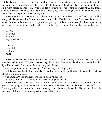past the shoe boxes full of dream books and no-good lottery tickets and fabric scraps, and go for the one marked with my dad's name—*Gregory.* I lift the box out of the closet like a fragile piece of glass. But I'm too scared to open it up. When I do, tears come to my eyes. There's pictures of me and Daddy standing in front of the house. Playing football in the yard. Him carrying me on his back up the stairs. I haven't seen these pictures since Daddy died.

Momma's yelling for me to hurry up because I got to go to school in a half hour. I'm looking through all the pictures but I don't see no poems. I find Daddy's birth certificate and the driver's license from when he drove a cab. I just about give up, but then I see a crumpled brown paper bag that's been smoothed out and folded tight. The words is written out real neat and straight and strong.

Brown **Beautiful** Brilliant My my Maleeka is Brown **Beautiful** Brilliant Mine

Momma is calling me. I can't answer. My mouth is full of Daddy's words, and my head is remembering him again. Tall, dark, and smiling all the time. Then gone when his cab crashed into that big old bread truck. Gone away from me for good, till now.

″Maleeka, you got to go to school, girl,″ Momma says, heading upstairs.

I fold the poem and stuff it in my pocket. Then I take the picture of Daddy with me on his back and put that in my other pocket.

″Find anything?″ Momma asks, sitting next to me on the bed.

″Just some stuff,″ I say, walking out of the room to get my jacket.

Momma doesn't ask what kind of stuff. It ain't that she don't care. She just ain't ready to look or listen to Daddy again. She shoves the pictures back in the box, and puts the box on the shelf. I kiss Momma good-bye, and soon she's in the sewing room, threading the needle. By the time I shut the front door, all I hear is that sewing machine going like crazy.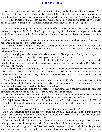AT SCHOOL I SKIP LUNCH PERIOD, and go over to the library and hand in my stuff for the contest. The librarian says that over one hundred kids have entered this contest. I almost take back my entry when she tells me that. But then I start thinking about how much time I put into my writing. I ain't got nothing to lose, I tell myself. I'm almost out the door when I see some books on the table. They're poetry books, so I sit down and look at them for a while, and think about Daddy all over again.

Working in the principal's office has got its benefits. You get to see and hear everything. Like parents coming in to tell Mr. Pajolli off. Juju came by today. She didn't have an appointment. But she wouldn't leave, so they pulled Miss Saunders out of class and got somebody else to cover her for a while.

Before Miss Carol can open her mouth to speak, Juju is screaming loud as anything. She's saying her sister is failing because of Miss Saunders.

Mr. Pajolli comes rushing out of his office, asking JuJu to quiet down. He puts out his hand, and introduces himself. JuJu looks at his hand like dirt's on it. She ain't gonna shake it. He asks her to calm down. She won't.

JuJu starts saying who she is and what she's come for. She's got on a skintight, fire-engine red dress that swishes like cheddar cheese on a grater every time she moves.

She's banging her fist like a gavel on the front desk. She sticks her long, bony finger in Mr. Pajolli's face and says, ″Before that woman came, Char got A's. Now, all she gets is D's. What's up with that?" she shouts.

JuJu's right about Char's bad grades. As soon as Miss Saunders came here, she separated me and Char's seats. I guess she could see I was letting Char cheat off me. I ain't been doing Char's homework like I was, neither. Lately, I been making up excuses, saying Momma's keeping me busy with chores, stuff like that.

Before Mr. Pajolli answers JuJu, JuJu is on to a new subject. ″Char's all the time talking about that woman at home. Mostly how mean she is. And ugly. That teacher can't be taking her problems out on my sister just 'cause she got burnt on the face or something.″

Mr. Pajolli asks JuJu to come into his office. "No," JuJu says. She's not leaving until she sees Miss Saunders. Mr. Pajolli finally tells Miss Carol to send for Miss Saunders.

Miss Saunders comes into the office with her head up and her grade book under her arm. She's wearing red today, too. She seems calm, maybe because she's never met JuJu before.

Mr. Pajolli waves his hand for JuJu to follow him to the office. JuJu shakes her head "No. We ain' hiding this behind no closed doors. I want this thing out in the open. Right is right, so let's handle our business here,″ JuJu says.

Mr. Pajolli stands his ground. "Business is handled in my office or not at all."

JuJu's still mouthing off but she follows behind Mr. Pajolli. ″This is Char's third time in seventh grade,″ she's saying. ″Char can't afford to do no more time here. Her other teachers know that. They're giving her the grades she needs to move up.″

Miss Saunders hands JuJu some papers. Most of them are incomplete, she says. Charlese would rather pass notes than do assignments, Miss Saunders tells her. JuJu eyes the papers.

I don't know what happened next. Miss Carol told me to go get the janitor and tell him the principal wants him to clean up the mess in the boys' room. Miss Carol could have called the janitor on the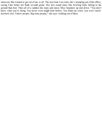intercom. She wanted to get rid of me, is all. The next time I see JuJu, she's stomping out of the office, saying Char better not flunk seventh grade. Her feet sound more like bowling balls falling to the ground than feet. Then all of a sudden she stops and stares Miss Saunders up and down. ″You don't know what you're doing. You never even taught kids before. You flunk my sister, you won't teach nowhere else. I know people. Big-time people,″ she says, walking out of there.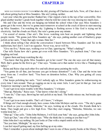MISS SAUNDERS DOESN'T KNOwWhat she did, pissing off Charlese and JuJu. Now, all Char does is talk about getting back at Miss Saunders. She ain't joking, neither.

Last year when the gym teacher flunked her, Char ripped a hole in the top of her convertible. Hotglued another teacher's grade book together when he told her sister she was missing too much class.

Me and Char and the twins are hanging out behind the school when Char says Miss Saunders is gonna get it the worst, that we're gonna meet tomorrow at school at the crack of dawn to start messing up Miss Saunders. I'm watching the sky. Lightning is flashing across it like God is trying out his electricity. And the clouds are black, like rain's gonna pour any minute.

I'm scared of storms. Char ain't. She loves watching rain beat on people and lightning chase people inside. ″We gonna jack Miss Saunders up,″ she says, putting another coat of blueberry grape polish on her nails. ″I hate that ugly woman. Hate her.″

I think about telling Char about the conversation I heard between Miss Saunders and Tai in the auditorium, but I don't. I ain't no squealer. Never was, never will be.

″Give me five,″ Raina says, walking over to Char, ignoring me. ″What's shaking?″

Char tells Raina how she's gonna get even with Miss Saunders. ″It's payback time,″ Char says, laughing out loud.

I ignore them and keep watching the sky.

″You know that big globe Miss Saunders got in her room? The one she says cost all that money. Well, that's gonna be the first to go," Char says. "Gonna carve that sucker in two like a Thanksgiving turkey.″

Raina and Raise slap each other five and talk about spray painting the walls.

″You gonna do all that, just because you got in-house detention?″ I ask. Char and the twins turn away from me. I swallow hard. ″You been on detention before, Char. Why you getting all crazy now?″ I ask.

Char keeps polishing her nails. ″Ain't nobody ugly as Miss Saunders gonna be embarrassing me every time I turn around. Then go ragging on me to my sister JuJu. I can't just let that go. Just wait. Tomorrow morning's just the beginning.″

″I can't get in no more trouble with Miss Saunders,″ I whisper.

″Shut up, Maleeka,″ Raise says. ″Char knows what she's doing.″

″I sure do,″ Char says, throwing her nail polish at my head. The bottle misses me, but breaks open on the steps.

″I can't get in no more trouble. That's all I know,″ I whisper.

If things ain't bad enough already, here comes John-John McIntyre and his crew. ″The sky's gonna be as black as you in a minute, Maleeka,″ he says, looking up at the clouds. His friends think he's funny. They laugh and give a few high fives. Then they start singing, ″Maleeka, Maleeka, we sure wanna keep her….″

″Shut up,″ Char yells. ″John-John McIntyre, I will kick your butt,″ she says, going after John-John. ″Jack up Char,″ one of his friends says. ″Who she think she is coming at you that way?″

John-John don't say nothing. He just looks at Char with a stupid smirk on his face.

″See you later, Midnight,″ he says to me.

I can feel myself getting mad, my fists balling up at my sides.

Then I remember a poem about midnight that I seen in one of those poetry books at the library. The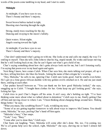words of the poem come tumbling in my head, and I start to smile.

#### **Midnight**

At midnight, if you have eyes to see, There's beauty and there's majesty.

Sweet brown babies tucked in tight, Shooting stars bursting through the night.

Strong, sturdy trees reaching for the sky Dancing and swaying to the moon's lullaby.

Quiet waters. Silent nights. Angels soaring toward the light.

At midnight, if you have eyes to see There's beauty and there's majesty.

Char don't understand what's going on with me. She looks at me and calls me stupid, the way I'm smiling to myself. Then she tells John-John to shut his big, stupid mouth. He winks and keeps moving. But he's still looking back at me, like he can't figure out what's got a hold of me.

Char's saying something about how she's gotta always look out for me, but I ain't listening really. I'm saying that poem over in my head again and again.

Next thing I know, here comes Caleb. When Char sees him, she starts talking real proper, all up in his face, telling him how she likes his braids. Asking the name of that cologne he's wearing.

″Hey, Maleeka,″ he calls to me, ignoring Char. Caleb sure looks good. And he smells even better. He's got on a lime-green African dashiki with tiny golden swirls stitched on it. He and me just stand there, smiling at each other.

Char pushes herself between us. ″You can thank me for how good Maleeka looked,″ she says, snuggling up to Caleb. ″I bought them clothes for her. Gotta keep my girl looking good,″ she says, licking her lips.

Caleb tries to peel Char's fingers off his arms. It ain't easy, she's holding on tight. ″I've been thinking some more about what we talked about in detention,″ Caleb says to me, finally getting Char off him and moving closer to where I am. ″I been thinking about changing things around here. Making things better,″ he says.

″What you mean, like scrubbing floors?″ I ask, wrinkling my nose.

″Some of us are getting together tomorrow to talk about ways to improve McClenton. You should come, Maleeka,″ he says, peeling Char's hand off him again.

″Maleeka's busy,″ Char snaps.

″Yeah,″ I say. ″Busy.″

″Come after you're done then,″ Caleb says.

Char busts out laughing. ″Sure, Maleeka will come after she's done. Me, too. I'm coming, too. We're *all* gonna help save the school, right, Maleeka?" she says, shoving me so hard I almost fall down.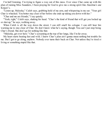I'm half listening. I'm trying to figure a way out of this mess. Ever since Char came up with this plan of ruining Miss Saunders, I been praying for God to give me a strong spirit like Akeelma's and Kinjari's.

″Listen up, Maleeka,″ Caleb says, grabbing hold of my arm, and whispering in my ear. ″Your girl Char is whacked. You better stay clear of her before she ends up taking you down with her.″

″Char and me are friends,″ I say quietly.

″Yeah, right,″ Caleb says, shaking his head. ″Char's the kind of friend that will get you locked up or shot up,″ he says, walking away.

When Caleb is all the way down the street, I can still smell his cologne. I can still hear him warning me to stay clear of Char. He don't know what he's saying, though. You can't just stop being Char's friend. She don't go for nothing like that.

″Maleeka, get over here.″ Char's screaming at the top of her lungs, like I'm far away.

My heart starts beating fast and wild. I know Char's plan ain't gonna mean nothing but trouble for me. But I got to go along, anyhow. Nobody ever turns their back on Char. Not unless they're tired of living or something stupid like that.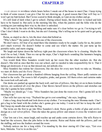I LAY AWAKE IN BEDthree whole hours before I sneak out of the house to meet Char. I keep trying to think of some reason I can give Char for not showing up. A good reason that Char will buy so I won't get my butt kicked. But I'm too scared to think straight, so I put on my clothes and go.

It's still kind of dark when I get to school. During school hours, the front door is locked and kids have to be buzzed in. But early in the morning like this, when the janitors and the folks who do the cooking are just making their way in, the door is unlocked.

We all meet by the side of the building and make sure it's clear before we go in. I'm trying to tell Char I don't think I want to do this, but she ain't listening. She's telling me to be quiet and to get going inside.

Raina, as stupid as she is, lets the door slam shut behind us.

″Who's there?″ the janitor yells from one of the classrooms.

We don't move. All four of us stand there like dummies ready to be caught. Lucky for us, the janitor ain't much worried. He doesn't bother to come and see what's the matter. He just turns up his portable radio, and starts singing.

We laugh and tiptoe down the hallway right past the classroom where he is cleaning. Maybe this won't be so bad, I think. Then we run up the steps, Char's high heels sounding like hammers banging nails whenever she takes a step.

You would think Miss Saunders would lock up her room like the other teachers do. But she doesn't. She told us once that this was our school, and we needed to take responsibility for it. That if things got destroyed, it was us that missed out, not nobody else.

Miss Saunders has redone her classroom, like she does for every new book we take on. Monday, we start *Ali Baba and the Forty Thieves.*

Her classroom has got about a hundred ribbons hanging from the ceiling. Sheer puffy curtains are tacked to the walls. The room is full of purples, pinks, and greens. All them colors and curtains make the room look soft and safe.

Our desks are pushed up against the back wall, and lots of pillows, like they sit on in themArabian movies, are scattered all over the place. Char throws herself down on the pillows and stretches out like she's gonna be here awhile.

″Maybe we should go,″ I say. ″Miss Saunders has just done the room over. She's gonna kill us for messing it up.″

Char rolls her eyes my way. ″Payback has got to cost something,″ she says, laughing.

I take a long, deep breath and look down at my clothes. I'm wearing the ones Momma made. Char's got a bag in her hand with the clothes she's gonna give me today. I want to tell her to keep the stuff. But I keep my mouth shut and take the bag.

The twins are the first to go into Miss Saunders's desk. Raise grabs a bottle of glue and swirls a design on a red velvet pillow. Then she takes the gooey pillow and smears it cross the windows and walls.

Char lets out a low, mean laugh, and reaches up and yanks some curtains down. She tells Raise to hand her the scissors, then she jabs holes in the curtains. Raise and Raina stab the pillows, pull out the stuffing, and toss the feathers around the room.

Nobody notices me for a long while. I'm standing by the door staring till Char says, ″Get over here, Maleeka. You're in on this too."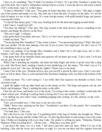I have to do something. They'll think I'm chicken if I don't. So I get Miss Saunders's grade bool out of the desk. Her watch is sitting there ticking loud as a clock. I close the drawer and erase a bunch of D's in the book. I put A's in their place.

″Is that it, Maleeka?″ Char says. ″You gotta do better than that. Get over here.″ She takes a lighter out of her pocket and hands it to me. She tells me to burn the pile of money on the table. It's not the kind of money we use in this country. It's some foreign money, with puffy-headed kings and queens wearing tall collars.

″I want all that money gone,″ Char says, heading back for the desk and digging around inside. I don't move. I stand real still.

″You hear me talking?″ Char asks. She digs around in the desk drawer, shoves something in her pocket, and dumps the drawer on the floor.

″This ain't right,″ I whisper.

Char grabs hold of my hand, and says, ″Do it, or I ain't never gonna bring you no clothes.″ I shake my head. ″No.″

″You protecting Miss Saunders?″ Char wants to know. ″You protecting that hussy? Why? She don't like you, neither. All the time making a fool out of you in class. You stupid girl. Do like I say or I'll do something to mess *you* up.″

I don't say nothing. Even though Miss Saunders and I didn't hit it off right away, she is still  $\varepsilon$ teacher, I tell Char. She still runs the show.

Char grabs hold of my shoulder blade and squeezes till my knees get weak. ″Like I said, I will jack you up, girl. Do you hear me?″

While Char's pinching my shoulder, she takes her baby finger and sticks it up her nose like a plug in a sink. She blows hard, sending a bunch of snot splattering over the money. ″Do what I say or I'm gonna do worse yet,″ she says, flicking her lighter's flame close to my head.

I stare Char in the eyes. Momma always says you can tell a person by their eyes. Char's eyes don't have no life to them. They're cold and hard like flat black skipping rocks you find at the bottom of the creek.

I shake my head. ″No, I ain't doing it,″ I say softly. But Char squeezes my shoulder so hard, I hear my bones creak.

I grab the lighter with my other hand and set the money on fire. The kings and queens curl up, turn black, and disappear. There's nothing but ashes on the table.

Char lets me loose, and heads over to the twins. I'm crying in the corner, wishing I could undo this whole school year. Wishing I could go back to being who I was, not somebody's fool.

I'm rubbing my arm when I hear something popping and sizzling. It's the curtains on the wall they're on fire!

″Girl, you in trouble now,″ Char says to me, her eyes wide.

″Shhh,″ Raise says, peeking out the door. ″Somebody's out there. It's the janitor. He's around the corner, heading our way.″

″I'm outta here,″ Char says.

She's the first to run. I'm the last. I'm grabbing hold of the bag of clothes she brought me. When I pick it up, the bag rips and the clothes fall out. I'm shoving them back in and trying to run at the same time. Clothes are dropping with every step I take. The janitor is yelling my name. ″Maleeka, Maleeka Madison. What you doing here?...Oh my Lord.... What have you done, girl?"

I run down the steps, two at a time. I fall down and bust open my knee. When I'm out of the building, Char and the twins ain't nowhere in sight. It's just me out there and fire engines from the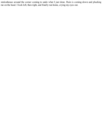stationhouse around the corner coming to undo what I just done. Rain is coming down and plucking me on the head. I look left, then right, and finally run home, crying my eyes out.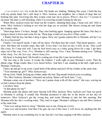I CAN HARDLY GET THE KEYin the lock. My hands are shaking. Shaking like crazy. I hold the key with my steady hand, but I still drop it. Miss Jackson, our neighbor, has a bunch of dogs that are barking like mad. Growling like they wanna come tear me to pieces. *Where's that key?* I scream in my head. My knee is still bleeding, while I'm crawling around looking for the key.

When Miss Jackson sticks her head out the window, shushing them dogs, I keep real still. Still as stone. Miss Jackson's looking to see why her dogs are so excited. She misses seeing me and slams her window shut.

Them dogs know I'm here, though. They start barking again. Jumping against the fence like they're trying to knock it down and come for me. Them dogs would eat you alive if they could.

I finally find the key, but then I drop it again. How am I gonna explain this to Momma, tell her I set fire to a classroom?

Finally, I let myself inside. I take off my shoes. Put them near the couch. Then head upstairs…real slow. But them old wooden steps, they talk. Every time I set foot on one, it tells on me. They creak like crazy. So I step real soft. I put my foot down easy as a baby going down for a nap. I get three steps out of the way. *Four. Five.* Momma is still snoring. *Nine.* I hear Momma turning over. Talking in her sleep. *Ten, the last step. Almost home free.*

My heart is beating hard. My breath is coming out of me like I just run ten blocks.

The last step is the worse. It creaks the loudest. I walk right on past Momma's room. Then the phone rings. Rings louder than I ever heard before. And here I am, standing in the hall, right next to Momma's bedroom.

I hurry up and get in my room. I grab hold of the phone and peel off my clothes at the same time. ″Your momma up, girl?″ Miss Jackson says.

Oh my God, I think, kicking my clothes under the bed. Big-mouth Jackson seen everything.

″No, Miss Jackson, Momma's knocked out asleep. Better call back later,″ I say.

Momma comes out of nowhere. ″How am I gonna sleep with all this racket,″ she says, scaring me so bad I almost drop the phone.

I swallow hard.

″Is that phone for me?″

Momma grabs the phone and starts fussing with Miss Jackson. Miss Jackson can't hear too good, so Momma is yelling. It sounds like Momma promised to take her to the doctor on her day off tomorrow. Miss Jackson's got the wrong day, and wants Momma to take her this morning. But Momma tells her she's working today. They start to argue. Momma's talking to me and Miss Jackson at the same time.

″Turn over and go back to sleep,″ Momma says to me, fixing my covers.

I turn over and promise God that if he gets me out of this mess I will never do anything like this again.

Momma starts to say something else to me, but she's too busy arguing with Miss Jackson.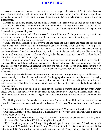MOMMA FOUND OUT WHAT I DONE ain't never gonna get off punishment. That's what Momma says. She whopped me all the way from the school security guard's office to our house. I got suspended at school. Every time Momma thought about that, she whopped me again. I was so embarrassed.

Momma never hit me before, not till today. Momma can't hardly talk or look at me. She's been crying all day. She doesn't even go to work, play the numbers, or look at the stocks. She just talks to the neighbors and cries. I stay upstairs as long as I can. When my stomach starts hurting, I head downstairs to get something to eat.

″You want some of my tea?″ Momma asks. ″I didn't drink it yet.″ She pushes her cup over to me, and sits there a while, rubbing my hands with her warm, soft fingers. We both start crying.

″I didn't mean for it to happen, Momma,″ I say.

″Shhh,″ she says. Then she comes over to me and holds me in her arms and rocks me like she did when I was little. ″Maleeka, I been thinking all day how to undo what you done. How to pay the school back. How to get you to tell me who put you up to this. Look at my arms,″ she says, rolling up her dress sleeves. They're covered with tiny red bumps. So is her neck and one of her ears. Tiny bumps break out on every part of Momma's body when her nerves get the best of her. Most times, I put lotion on them to make them stop itching.

″I been thinking all day. Trying to figure out how to raise two thousand dollars to pay for the damages. The more I thought about it, the more I broke out in bumps,″ she says, scratching. Then, she goes on. She talks so calm and peaceful. She says she realizes that I'm not gonna learn nothing from her trying to save me. ″You gotta think that you worth saving, baby. Gotta realize that who you are is all you got.″

Momma says that she believes that someone as smart as me can figure her way out of this mess, no matter how big it is. Me, I'm scared to death. I'm begging Momma not to do this to me. I'm crying wiping snot and tears away. I'm following Momma out of the kitchen, asking her to talk to the teachers and make this thing right again. But Momma ain't having it. She turns on the hallway light and heads upstairs.

I try not to cry, but I can't help it. Momma ain't being fair. I want to remind her that when Daddy died, *I* was there for *her.* How come she can't be here for me now? But when Momma makes up her mind, there ain't no use in trying to change it. Two thousand dollars. She knows I can't get money like that.

I'm thinking about how I can make me some money. But before I can think on it too much, the phone rings. It's Charlese. She wants to know if I told on her. ″No,″ I say, ″but that don't mean I ain't gonna. ″

″Maleeka, hang up that phone. You know you on restriction,″ Momma says, from the bathroom.

″All right, Momma,″ I call, acting like I'm hanging up. I lower my voice and tell Char I got to go. But she keeps on talking.

″I can't get in no more trouble,″ she says. ″Last time I cut the roof on that teacher's car, they said I would be expelled from school if I did anything like that again."

″Well, I'm already suspended,″ I say. ″Why should I get in trouble by myself? I said we should leave the school. Why didn't you listen?" I say. What I want to tell Char is, so what if she gets kicked out of school. She's too old for seventh grade anyhow. But I don't say nothing. Char's sister JuJu is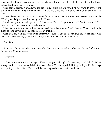gonna pay her four hundred dollars if she gets herself through seventh grade this time. Char don't want to lose that kind of cash. No way.

Char admits that she should have listened to me, but it's too late now. She just wants to know if she can count on me keeping my mouth shut. If I do, she says, she will bring me even better clothes to wear.

I don't know what to do. Ain't no need for all of us to get in trouble. Bad enough I got caught. ″Y'all gonna help me pay this money back?″ I ask.

″Yeah. We got your back, girlfriend,″ Char says. Then, ″So you won't tell? We in the clear? The twins and me?″ she asks before she hangs up.

Char knows me. She knows that she can trust me to keep quiet. Not to squeal. ″Yeah, y'all in the clear, as long as you help pay back the cash,″ I tell her.

Char says she will talk to the twins tomorrow at school. She'll call me later and let me know what they say. Then Char says, ″You're my girl, Maleeka. I knew I could count on you.″

#### *Dear Diary:*

*Remember the acorn. Even when you don't see it growing, it's pushing past the dirt. Reaching for the sun. Growing stronger.*

#### *—Maleeka*

I look at the words on that paper. They sound good all right. But are they true? I don't feel no stronger or braver today than I did a few weeks back. This is stupid, I think, grabbing hold of the page and ripping it out the diary. Then I ball that mess up and throw it in the trash can.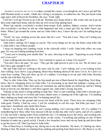MOMMA'S MAKING ME GO TO SAMS fore around the corner, even though he ain't never got half the stuff Momma needs or wants. I think she's doing it on purpose, to embarrass me. She just needs some eggs and a slab of bacon for breakfast, she says. Yeah, right.

I tell her I will get Sweets to go with me. Momma says forget about it. She wants only me to go and then come right back home, and not take my own sweet time getting back.

When I go outside, everybody's on their front stoops. Kids, mothers, fathers, cousins. And it seems like everybody's out there to ask me what happened and why a smart girl like me didn't know any better. When I get around the corner and see John-John's face, I know the day can't do nothing but get worse.

″Oooh,″ he says, strutting across the street like he's cool. ″You did it now. They ain't letting you back in school, are they?″

John-John's smiling. He's happy as can be. The worse things are for me, the better some folks like it. John-John's one of those people.

I keep on stepping and counting cracks in the sidewalk while I walk. John-John offers me some gum. No way am I taking anything from him.

″'Least you're keeping your mouth shut,″ he says, chewing on the gum. ″Squealing on your friends ain't even cool.″

I stop walking and stare him down. ″Ain't nobody to squeal on. I done it by myself.″

″You don't have the guts,″ he says. ″They got the right person to pin it on, too. We all know you don't have guts enough to tell.″

Me and John-John are walking to the store side by side. I ain't talking, ain't even looking at him. Just walking. Eyes down. Legs pumping. Brain busy thinking about all the mess I'm in. So I don't see some boys coming. They just show up all of a sudden. Crowding in on me and John-John, blocking out the sun with their big selves.

They're after John-John. They say his big mouth got one of them busted for shoplifting. Next thing know, they're whopping down on John-John. I'm screaming in my head but nothing's coming out of my mouth. John-John's little short arms are stretched out, and his hands are balled up, and he's hitting back as best he can. But there's still three against one. John-John's losing, big time.

Nobody on the street is doing nothing to help him. They're just watching. John-John's already got a busted lip. His left eye is swollen and water, maybe tears, is running out of the right one. I'm standing there shaking my hands and arms like I'm fanning myself dry.

John-John falls to the ground and covers his head with his arms. Those boys are stomping John-John good. Finally, I find my voice. I yell for somebody to call the cops. But folks just stare. I yell some more. Somebody runs inside their house.

Blood. I see blood. John-John, he ain't saying nothing. Ain't moving either. All of a sudden I'm remembering how those other boys messed with me on that day after JuJu's party, and all of a sudden it's like my body's taking orders from somebody else. I'm running across the street, and reaching into some overgrown bushes in front of the house on the corner. I'm pulling and pulling on one of them branches to make me a good switch. I break a few branches loose and run my hand up and down them to get the leaves off. Then I go back to John-John.

One of them boys is looking at me, daring me to use the branches. My heart, it's hurting my chest. Hurting it bad. My hands are burning from yanking and peeling back them leaves. My throat is so dry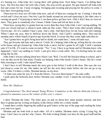it's burning too. John-John, he's laying there still getting beat. Next thing I know, I'm hitting them boys. The first boy that I hit yells like a baby. His arm swells up quick. He gets himself off John-John fast and comes for me. I keep swinging. Swinging and sweating and praying for the police to come. I hear their siren getting closer.

Them next two boys are off John-John now, and all of them are coming for me. Coming. I drop that switch and I close my eyes. One boy's got his hands around my arm and squeezing it, the other ones is cursing me good. I'm praying as hard as I can them police get here now. Only I don't hear no siren no more. They gone to somebody else's house, I think. Gone and left me here to die.

Them boys saying they're gonna beat me worse than they beat John-John. I ain't saying nothing. My eyes are closed and pee is about to pour outta me like water. Then I hear some other people talking. Grown-ups. All of a sudden I hear a pop. And a slap. And them boys let me loose and start running. When I open my eyes, they're halfway down the block. And Caleb's standing there. Him and his momma and a whole bunch of grown-ups from the block. It seems like they come right outta thin air.

″Ain't gonna have no girls being beat half to death, not round here,″ some old man says.

They got brooms and bats and a shovel. Caleb, he's helping John-John up, telling him he can come in his house and get cleaned up. John-John looks a mess, but he's gonna be all right. Caleb's momma asks if I'm OK, if I want to come on inside. "No," I say. I have to go home and let Momma know what happened. I don't say nothing to Caleb. I just give him a weak smile. Me, I'm feeling lucky he came along like he did.

John-John's always talking about how black I am. Well, I'm still the blackest thing in school, and it was me that saved his butt today. People are helping John-John inside Caleb's house, like he's some baby learning to walk. I take myself home.

I don't have to tell Momma much, the story gets to her before I walk in the door. She says she was just about to come for me. She makes me tell her the story three times before she lets me go to my room. After I'm there a while, Momma knocks on my door.

″A letter just came for you. It's from the library. You owe them money?″ she asks softly.

I push open the bedroom door before Momma says another word. I snatch the envelope out of her hands.

#### *Dear Ms. Madison:*

*Congratulations! The third annual Young Writers Committee at the Martin Malcolm Library is pleased to announce you as the winner of this year's contest.*

I show Momma the letter. The letter goes on and on about how many people entered, and how they're gonna put my writing on display in the library lobby for a whole month.

I stand there awhile fingering the puffed-up gold letters at the top of the page and reading the letter over and over again.

Momma and me both look at each other. All of a sudden, Momma starts crying. Crying big, fat tears. I don't have to ask her why. I know. We both wishing Daddy was here for the good stuff and the bad.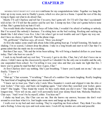MOMMA WENT RIGHT OUT AND BOUGHaTframe for my congratulations letter. Together we hung the letter up in my room, next to Daddy's poem, which we also put in a frame. I spend the rest of the day trying to figure out what to do about Char.

Maybe I'll call Charlese and tell her I'm sorry, but I gotta tell. Or I'll tell Char that I accidentally told on her. Or I'll tell her the janitor said he saw her. I stomp my feet. Char ain't gonna believe none of that. She's gonna kick my butt if I tell.

You would think after beating those boys off John-John, I wouldn't be afraid of nothing or nobody. But I'm scared like nobody's business. I'm sitting here on the bed rocking. Rocking and sucking my thumb like I did when I was five. Like I do when I get in real trouble and can't figure my way out. don't have no choice, I gotta tell. Then the phone rings.

″Hi, girlfriend,″ Charlese says, all sweet. ″How you doing?″

At first she makes some small talk about John-John getting beat up. I'm half listening. My hands are shaking. I'm so scared, I almost drop the phone. I take in a long breath and start to tell Char that I'm gonna admit that she made me do everything.

But then Char says, ″Me and the twins been talking. We will bring a hundred dollars to your house today. That's the best we can do.″

I suck in my breath and say real fast, ″I'm sorry I got to do this, Char, but y'all don't leave me no choice. I didn't mess up the classroom by myself so I shouldn't be the only one in trouble and the only one suspended from school. So I'm telling it was your idea and that you made me light that fire. I know you're gonna be mad but that's how it goes, Char.″

At first Charlese don't say nothing. She's just breathing. ″I knew you'd punk out on me,″ she says finally. ″I knew it.″

 $''$  I…I— $''$ 

″Shut up,″ Char screams. ″I'm talking.″ Then all of a sudden Char starts laughing. Really laughing. The hard kind of laughing that makes your stomach hurt.

″I knew not to trust you. That's why I stole Miss Saunders's watch and slipped it into the slits of your locker,″ Char says, and busts out laughing again. ″And when they searched your locker, guess what?" She laughs. "They found the watch. So they really think you did it now." She laughs for the longest time. ″Now tell on me, and I will personally kick your skinny black butt, Maleeka Madison,″ Char says. ″And I won't be by myself, either. You hear me?″

I shake my head yes, like Char can see me. But she knows my answer, because she don't wait around to even hear what it is. Just laughs some more and hangs up the phone.

I walk over to my bed and start rocking. They're expelling me from school. They think I'm a thief and a firebug. I close my eyes and rock some more. I rock till my insides are calm and peaceful.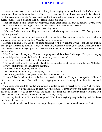WHEN I'M FEELING BETTER, I look at the library letter hanging on the wall next to Daddy's poem and the picture of me and him together. I can't even keep the money I won. I have to give it to the school to pay for that mess. Char don't know, and she don't care. All she wants is for me to keep my mouth quiet about her. She's standing over me, getting louder and louder.

Then the doorbell rings. Somebody rings three short, quick times like they're nervous. By the fourth ring, Momma yells for me to get it. She's got her hands full in the kitchen, she says.

When I open the door, Miss Saunders is standing there.

″Maleeka,″ she says, stretching out her arm and showing me her watch. ″You've got some explaining to do.″

My eyes get big and my mouth opens wide. Before Miss Saunders says another word, Momma walks up, holds me close, and tells Miss Saunders to come in.

Momma's talking a lot. She keeps going back and forth between the living room and the kitchen. Tea. Sugar. Homemade biscuits. Honey. It seems like Momma will never sit down. When she finally does, Miss Saunders brings up me and my situation. Right away Momma finds another reason to head to the kitchen.

Miss Saunders talks anyway. ″Rumors are going around the school,″ she says. ″Everyone is saying you had help—that it was Charlese's idea to destroy my classroom.″

I let her keep talking. I pick at a scab on my hand.

″I'm here to get the truth from you firsthand, to say no matter what, we can work this out, Maleeka.″

My eyes shift from Miss Saunders to the floor.

″We need to talk about this, Maleeka.″

″Ain't nothing to talk about,″ I finally say. ″I did it. That's that.″

″Not alone, you didn't. Everyone knows that. Who helped you?″

″Listen, Miss Saunders. Some kids dared me to do it. Said they'd pay me twenty-five dollars if I did. I needed the money. That's all,″ I say, digging at the scab, drawing blood from the dry, hard shell.

″Maleeka, once you told me that you could be trusted to keep a secret. My secret. And you did. I know you did. Now I'm asking*you* to trust *me.″* Miss Saunders turns my way and takes off her jacket. She rolls up the sleeves of her blouse. She reaches her hand out and takes my hand. ″Trust me with the truth and I promise everything will be OK,″ she says softly.

I snatch my hand away. ″I said what happened. Why does everybody keep bothering me? Just leave me alone,″ I say to her.

Miss Saunders sighs and lets my hand drop. She puts her jacket back on and lets herself out.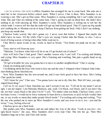I GO TO SCHOOL THE NEXT DAY Miss Saunders has arranged for me to come back. She asks me to meet her in her classroom before school starts. When I arrive, Char is there. Miss Saunders is no wearing a suit. She's got on blue jeans. Miss Saunders is saying something, but I can't make out just what. She and Char are talking at the same time. Char's going on and on about how she didn't have nothing to do with messing up Miss Saunders's room. Miss Saunders is telling me to tell her the whole truth. I want to tell her that the truth will get my butt kicked good. That if I open my big mouth, ain't nothing she or Momma can do to keep Charlese from getting me back. Only I don't say nothing, just keep my mouth shut.

Charlese looks scared, like she's gonna cry. I never seen that before. I figured that maybe she didn't have no tears. All the while Char's eyes are saying I better take the blame, or else. I am so tired of being scared, of doing what other folks want me to.

Char throws mean words at me, words as hard as bricks. ″You better not punk out on me,″ she says.

Tears start to roll from my eyes.

″Maleeka. You know what JuJu will do to me if I get kicked out of school.″

JuJu will kick Char's butt good. That's another reason why I can't tell. I'm rocking and thinking and crying. Miss Saunders is very quiet. She's listening and watching. She puts a gentle hand on my shoulder.

″If I get in trouble for you, you gonna have to move to another neighborhood,″ Char is saying.

I keep on rocking and crying.

I'm thinking about the boys who tried to kiss me and the ones I whipped when I helped John-John. I start thinking about Akeelma too.

Now Miss Saunders has her arm around me, and it sure feels good to have her here. She's letting Char speak her mind.

″All I done for you,″ Char says. ″You gonna leave me out to dry like this. Wait till later, you ugly, stupid black thing.″

*Call me by my name!* I hear Akeelma say, and I scream it out, too. ″Call me by my name! I am not ugly. I am not stupid. I am Maleeka Madison, and, yeah, I'm black, real black, and if you don't like me, too bad 'cause black is the skin I'm in!″ I yell. ″No matter what you think, Charlese Jones, you're ten times worse. I would never force someone to burn down a classroom, or pick on kids weaker than me, or say words so mean they make people bleed inside.″ I'm rocking and crying and rocking. ″You the one who pushed me to mess up Miss Saunders's room, and you were in on it, too—you and the twins,″ I say, feeling relieved.

Charlese gives me a hard look.

She pushes past Miss Saunders and me and makes her way to the door. ″Look at you two—two ugly-faced losers,″ she says. Miss Saunders don't even stop Char. She lets her go. Then Miss Saunders hugs me to her, and I feel safe inside.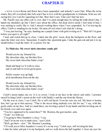A WEEK PASSES. Raina and Raise have been suspended, and nobody's seen Char. When the twins return, they tell everybody that JuJu sent Char to live with her grandparents in Alabama. Kids are still saying how jive I am for squealing on Char. But I don't care. Char can't hurt me now.

Mr. Pajolli says my office job is over, that I've paid enough dues by telling the truth about Char. I hunch my shoulders up like I don't care about the office, but deep down inside I feel kind of bad. I was starting to really like it. And I missed working there when I was suspended. As I'm leaving the office, Caleb is standing by my locker. He turns all red when I ask what he's doing.

″I was just leaving,″ he says, handing me a purple letter with gold writing on it. ″Wait till I'm gone before you open it, all right?″

I nod, and watch him go to class. I duck into the girls' room, drop the backpack on the floor, and open the letter real slow. Spearmint. It smells like spearmint gum. I take the gum out and put it in my mouth before I read the letter. It's a poem. For me.

#### **To Maleeka: My sweet dark chocolate candy girl**

Would you be my Almond Joy My chocolate chip, my Hershey Kiss My sweet dark chocolate butter crisp?

Hand and hand we'd walk to class and sit and talk in sweet green grass.

Rollar coaster way up high, pick moonbeams from out the sky.

Would you be my Almond Joy My chocolate chip, my Hershey Kiss My sweet dark chocolate butter crisp?

Caleb's poem makes me cry. It is so sweet. I look at my face in the mirror and smile. I promise myself to hang Caleb's poem on the wall with Daddy's and the one from the library.

On the way to class, I see Caleb. He is still red-faced. Even his ears are red. My heart is beating fast, but I go up to him anyway. ″That is the nicest thing anybody ever did for me,″ I say, with this goofy smile on my face. And we stand there, me twisting a pencil in my hands and him twisting one of his braids over and over again.

″You two supposed to be somewhere?″ Mr. Braxton, the gym teacher, asks.

″Yeah,″ we both say.

″I'm going to Miss Saunders's class,″ I say.

″And I'm on my way to math class,″ says Caleb.

″Well, get there—now.″ Mr. Braxton's pointing.

″I'll walk you to Miss Saunders's room. It's on my way,″ Caleb says, still twisting his hair.

I take his letter and put it in my backpack, and we walk down the hall together. I close my eyes for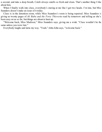a second, and take a deep breath. Caleb always smells so fresh and clean. That's another thing I like about him.

When I finally walk into class, everybody's staring at me like I got two heads. I'm late, but Miss Saunders doesn't make an issue of it today.

Class is in the detention room, while Miss Saunders's room is being repaired. Miss Saunders is giving us twenty pages of *Ali Baba and the Forty Thieves*to read by tomorrow and telling us she's been easy on us so far, but things are about to heat up.

″Welcome back, Miss Madison,″ Miss Saunders says, giving me a wink. ″Class wouldn't be the same unless you were late.″

Everybody laughs and turns my way. ″Yeah,″ John-John says, ″welcome back.″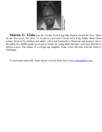

Sharon G. Flake won the Coretta Scott King/John Steptoe Award for New Talent for her first novel, *The Skin I'm In,*and is a two-time Coretta Scott King Author Honor Book winner. Beloved by children and adults, critics and booksellers, librarians and teachers, she is the author of a middle-grade novel and six books for young adults that have sold more than half a million copies. The mother of a college-age daughter, Flake writes full-time from her home in Pittsburgh.

To learn more about Ms. Flake, please visit her Web site at www.sharongflake.com.